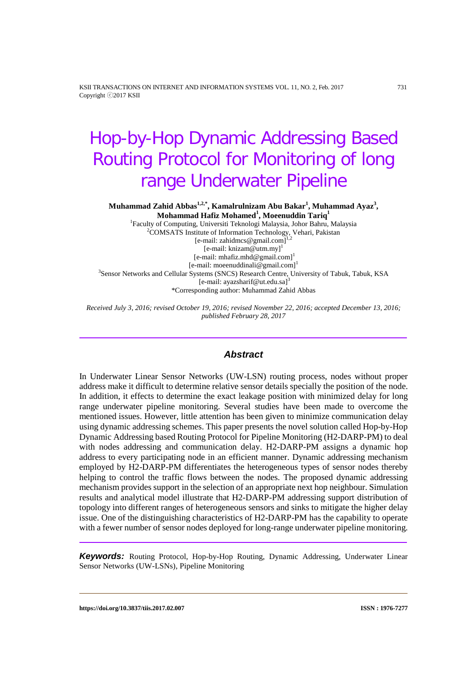KSII TRANSACTIONS ON INTERNET AND INFORMATION SYSTEMS VOL. 11, NO. 2, Feb. 2017 731 Copyright ⓒ2017 KSII

# Hop-by-Hop Dynamic Addressing Based Routing Protocol for Monitoring of long range Underwater Pipeline

**Muhammad Zahid Abbas1,2,\*, Kamalrulnizam Abu Bakar1 , Muhammad Ayaz<sup>3</sup> , Mohammad Hafiz Mohamed1 , Moeenuddin Tariq1**

<sup>1</sup> Faculty of Computing, Universiti Teknologi Malaysia, Johor Bahru, Malaysia<br><sup>2</sup>COMSATS Institute of Information Technology, Veheri, Pakistan COMSATS Institute of Information Technology, Vehari, Pakistan [e-mail: zahidmcs@gmail.com]<sup>1,2</sup> [e-mail: knizam@utm.my] 1 [e-mail: mhafiz.mhd@gmail.com] 1 [e-mail: moeenuddinali@gmail.com] 1 3 Sensor Networks and Cellular Systems (SNCS) Research Centre, University of Tabuk, Tabuk, KSA [e-mail: ayazsharif@ut.edu.sa]<sup>3</sup> \*Corresponding author: Muhammad Zahid Abbas

*Received July 3, 2016; revised October 19, 2016; revised November 22, 2016; accepted December 13, 2016; published February 28, 2017*

# *Abstract*

In Underwater Linear Sensor Networks (UW-LSN) routing process, nodes without proper address make it difficult to determine relative sensor details specially the position of the node. In addition, it effects to determine the exact leakage position with minimized delay for long range underwater pipeline monitoring. Several studies have been made to overcome the mentioned issues. However, little attention has been given to minimize communication delay using dynamic addressing schemes. This paper presents the novel solution called Hop-by-Hop Dynamic Addressing based Routing Protocol for Pipeline Monitoring (H2-DARP-PM) to deal with nodes addressing and communication delay. H2-DARP-PM assigns a dynamic hop address to every participating node in an efficient manner. Dynamic addressing mechanism employed by H2-DARP-PM differentiates the heterogeneous types of sensor nodes thereby helping to control the traffic flows between the nodes. The proposed dynamic addressing mechanism provides support in the selection of an appropriate next hop neighbour. Simulation results and analytical model illustrate that H2-DARP-PM addressing support distribution of topology into different ranges of heterogeneous sensors and sinks to mitigate the higher delay issue. One of the distinguishing characteristics of H2-DARP-PM has the capability to operate with a fewer number of sensor nodes deployed for long-range underwater pipeline monitoring.

*Keywords:* Routing Protocol, Hop-by-Hop Routing, Dynamic Addressing, Underwater Linear Sensor Networks (UW-LSNs), Pipeline Monitoring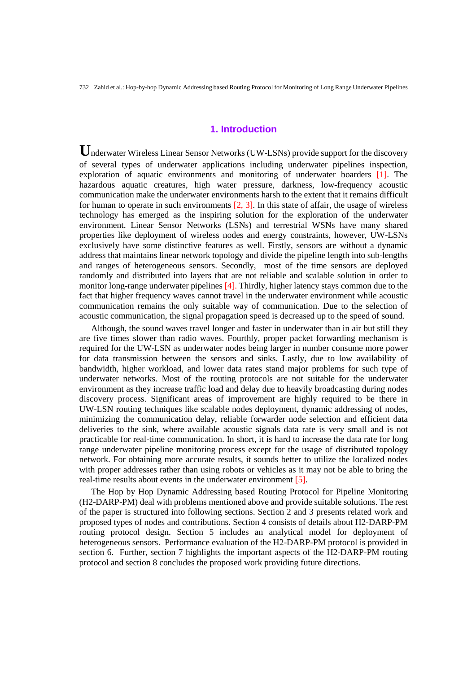# **1. Introduction**

**U**nderwater Wireless Linear Sensor Networks (UW-LSNs) provide support for the discovery of several types of underwater applications including underwater pipelines inspection, exploration of aquatic environments and monitoring of underwater boarders [\[1\]](#page-28-0). The hazardous aquatic creatures, high water pressure, darkness, low-frequency acoustic communication make the underwater environments harsh to the extent that it remains difficult for human to operate in such environments  $[2, 3]$  $[2, 3]$ . In this state of affair, the usage of wireless technology has emerged as the inspiring solution for the exploration of the underwater environment. Linear Sensor Networks (LSNs) and terrestrial WSNs have many shared properties like deployment of wireless nodes and energy constraints, however, UW-LSNs exclusively have some distinctive features as well. Firstly, sensors are without a dynamic address that maintains linear network topology and divide the pipeline length into sub-lengths and ranges of heterogeneous sensors. Secondly, most of the time sensors are deployed randomly and distributed into layers that are not reliable and scalable solution in order to monitor long-range underwater pipelines [\[4\]](#page-28-3). Thirdly, higher latency stays common due to the fact that higher frequency waves cannot travel in the underwater environment while acoustic communication remains the only suitable way of communication. Due to the selection of acoustic communication, the signal propagation speed is decreased up to the speed of sound.

Although, the sound waves travel longer and faster in underwater than in air but still they are five times slower than radio waves. Fourthly, proper packet forwarding mechanism is required for the UW-LSN as underwater nodes being larger in number consume more power for data transmission between the sensors and sinks. Lastly, due to low availability of bandwidth, higher workload, and lower data rates stand major problems for such type of underwater networks. Most of the routing protocols are not suitable for the underwater environment as they increase traffic load and delay due to heavily broadcasting during nodes discovery process. Significant areas of improvement are highly required to be there in UW-LSN routing techniques like scalable nodes deployment, dynamic addressing of nodes, minimizing the communication delay, reliable forwarder node selection and efficient data deliveries to the sink, where available acoustic signals data rate is very small and is not practicable for real-time communication. In short, it is hard to increase the data rate for long range underwater pipeline monitoring process except for the usage of distributed topology network. For obtaining more accurate results, it sounds better to utilize the localized nodes with proper addresses rather than using robots or vehicles as it may not be able to bring the real-time results about events in the underwater environment [\[5\]](#page-28-4).

The Hop by Hop Dynamic Addressing based Routing Protocol for Pipeline Monitoring (H2-DARP-PM) deal with problems mentioned above and provide suitable solutions. The rest of the paper is structured into following sections. Section 2 and 3 presents related work and proposed types of nodes and contributions. Section 4 consists of details about H2-DARP-PM routing protocol design. Section 5 includes an analytical model for deployment of heterogeneous sensors. Performance evaluation of the H2-DARP-PM protocol is provided in section 6. Further, section 7 highlights the important aspects of the H2-DARP-PM routing protocol and section 8 concludes the proposed work providing future directions.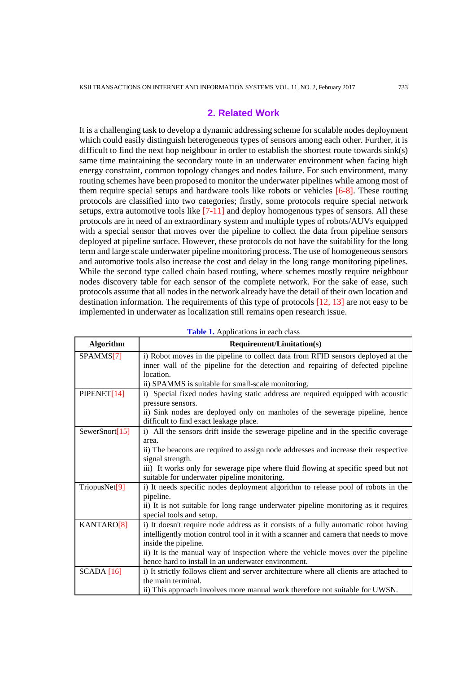# **2. Related Work**

It is a challenging task to develop a dynamic addressing scheme for scalable nodes deployment which could easily distinguish heterogeneous types of sensors among each other. Further, it is difficult to find the next hop neighbour in order to establish the shortest route towards sink(s) same time maintaining the secondary route in an underwater environment when facing high energy constraint, common topology changes and nodes failure. For such environment, many routing schemes have been proposed to monitor the underwater pipelines while among most of them require special setups and hardware tools like robots or vehicles [\[6-8\]](#page-29-0). These routing protocols are classified into two categories; firstly, some protocols require special network setups, extra automotive tools like [\[7-11\]](#page-29-1) and deploy homogenous types of sensors. All these protocols are in need of an extraordinary system and multiple types of robots/AUVs equipped with a special sensor that moves over the pipeline to collect the data from pipeline sensors deployed at pipeline surface. However, these protocols do not have the suitability for the long term and large scale underwater pipeline monitoring process. The use of homogeneous sensors and automotive tools also increase the cost and delay in the long range monitoring pipelines. While the second type called chain based routing, where schemes mostly require neighbour nodes discovery table for each sensor of the complete network. For the sake of ease, such protocols assume that all nodes in the network already have the detail of their own location and destination information. The requirements of this type of protocols [\[12,](#page-29-2) [13\]](#page-29-3) are not easy to be implemented in underwater as localization still remains open research issue.

| <b>Algorithm</b>          | <b>Requirement/Limitation(s)</b>                                                        |
|---------------------------|-----------------------------------------------------------------------------------------|
| SPAMMS[7]                 | i) Robot moves in the pipeline to collect data from RFID sensors deployed at the        |
|                           | inner wall of the pipeline for the detection and repairing of defected pipeline         |
|                           | location.                                                                               |
|                           | ii) SPAMMS is suitable for small-scale monitoring.                                      |
| PIPENET[14]               | i) Special fixed nodes having static address are required equipped with acoustic        |
|                           | pressure sensors.                                                                       |
|                           | ii) Sink nodes are deployed only on manholes of the sewerage pipeline, hence            |
|                           | difficult to find exact leakage place.                                                  |
| SewerSnort $[15]$         | i) All the sensors drift inside the sewerage pipeline and in the specific coverage      |
|                           | area.                                                                                   |
|                           | ii) The beacons are required to assign node addresses and increase their respective     |
|                           | signal strength.                                                                        |
|                           | iii) It works only for sewerage pipe where fluid flowing at specific speed but not      |
|                           | suitable for underwater pipeline monitoring.                                            |
| TriopusNet <sup>[9]</sup> | i) It needs specific nodes deployment algorithm to release pool of robots in the        |
|                           | pipeline.                                                                               |
|                           | ii) It is not suitable for long range underwater pipeline monitoring as it requires     |
|                           | special tools and setup.                                                                |
| KANTARO <sup>[8]</sup>    | i) It doesn't require node address as it consists of a fully automatic robot having     |
|                           | intelligently motion control tool in it with a scanner and camera that needs to move    |
|                           | inside the pipeline.                                                                    |
|                           | ii) It is the manual way of inspection where the vehicle moves over the pipeline        |
|                           | hence hard to install in an underwater environment.                                     |
| SCADA [16]                | i) It strictly follows client and server architecture where all clients are attached to |
|                           | the main terminal.                                                                      |
|                           | ii) This approach involves more manual work therefore not suitable for UWSN.            |

**Table 1.** Applications in each class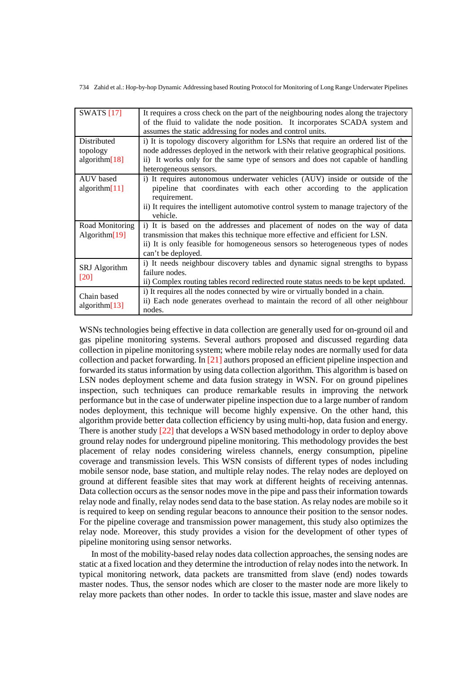| <b>SWATS</b> [17]                            | It requires a cross check on the part of the neighbouring nodes along the trajectory<br>of the fluid to validate the node position. It incorporates SCADA system and<br>assumes the static addressing for nodes and control units.                                                    |
|----------------------------------------------|---------------------------------------------------------------------------------------------------------------------------------------------------------------------------------------------------------------------------------------------------------------------------------------|
| Distributed<br>topology<br>algorithm $[18]$  | i) It is topology discovery algorithm for LSNs that require an ordered list of the<br>node addresses deployed in the network with their relative geographical positions.<br>ii) It works only for the same type of sensors and does not capable of handling<br>heterogeneous sensors. |
| AUV based<br>algorithm $[11]$                | i) It requires autonomous underwater vehicles (AUV) inside or outside of the<br>pipeline that coordinates with each other according to the application<br>requirement.<br>ii) It requires the intelligent automotive control system to manage trajectory of the<br>vehicle.           |
| Road Monitoring<br>Algorithm <sup>[19]</sup> | i) It is based on the addresses and placement of nodes on the way of data<br>transmission that makes this technique more effective and efficient for LSN.<br>ii) It is only feasible for homogeneous sensors so heterogeneous types of nodes<br>can't be deployed.                    |
| <b>SRJ</b> Algorithm<br>$[20]$               | i) It needs neighbour discovery tables and dynamic signal strengths to bypass<br>failure nodes.<br>ii) Complex routing tables record redirected route status needs to be kept updated.                                                                                                |
| Chain based<br>algorithm $[13]$              | i) It requires all the nodes connected by wire or virtually bonded in a chain.<br>ii) Each node generates overhead to maintain the record of all other neighbour<br>nodes.                                                                                                            |

WSNs technologies being effective in data collection are generally used for on-ground oil and gas pipeline monitoring systems. Several authors proposed and discussed regarding data collection in pipeline monitoring system; where mobile relay nodes are normally used for data collection and packet forwarding. In [\[21\]](#page-29-14) authors proposed an efficient pipeline inspection and forwarded its status information by using data collection algorithm. This algorithm is based on LSN nodes deployment scheme and data fusion strategy in WSN. For on ground pipelines inspection, such techniques can produce remarkable results in improving the network performance but in the case of underwater pipeline inspection due to a large number of random nodes deployment, this technique will become highly expensive. On the other hand, this algorithm provide better data collection efficiency by using multi-hop, data fusion and energy. There is another study [\[22\]](#page-30-0) that develops a WSN based methodology in order to deploy above ground relay nodes for underground pipeline monitoring. This methodology provides the best placement of relay nodes considering wireless channels, energy consumption, pipeline coverage and transmission levels. This WSN consists of different types of nodes including mobile sensor node, base station, and multiple relay nodes. The relay nodes are deployed on ground at different feasible sites that may work at different heights of receiving antennas. Data collection occurs as the sensor nodes move in the pipe and pass their information towards relay node and finally, relay nodes send data to the base station. As relay nodes are mobile so it is required to keep on sending regular beacons to announce their position to the sensor nodes. For the pipeline coverage and transmission power management, this study also optimizes the relay node. Moreover, this study provides a vision for the development of other types of pipeline monitoring using sensor networks.

In most of the mobility-based relay nodes data collection approaches, the sensing nodes are static at a fixed location and they determine the introduction of relay nodes into the network. In typical monitoring network, data packets are transmitted from slave (end) nodes towards master nodes. Thus, the sensor nodes which are closer to the master node are more likely to relay more packets than other nodes. In order to tackle this issue, master and slave nodes are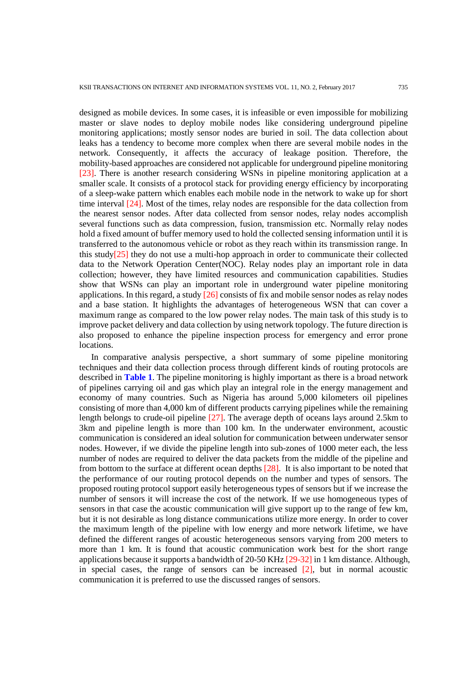designed as mobile devices. In some cases, it is infeasible or even impossible for mobilizing master or slave nodes to deploy mobile nodes like considering underground pipeline monitoring applications; mostly sensor nodes are buried in soil. The data collection about leaks has a tendency to become more complex when there are several mobile nodes in the network. Consequently, it affects the accuracy of leakage position. Therefore, the mobility-based approaches are considered not applicable for underground pipeline monitoring [\[23\]](#page-30-1). There is another research considering WSNs in pipeline monitoring application at a smaller scale. It consists of a protocol stack for providing energy efficiency by incorporating of a sleep-wake pattern which enables each mobile node in the network to wake up for short time interval [\[24\]](#page-30-2). Most of the times, relay nodes are responsible for the data collection from the nearest sensor nodes. After data collected from sensor nodes, relay nodes accomplish several functions such as data compression, fusion, transmission etc. Normally relay nodes hold a fixed amount of buffer memory used to hold the collected sensing information until it is transferred to the autonomous vehicle or robot as they reach within its transmission range. In this study[\[25\]](#page-30-3) they do not use a multi-hop approach in order to communicate their collected data to the Network Operation Center(NOC). Relay nodes play an important role in data collection; however, they have limited resources and communication capabilities. Studies show that WSNs can play an important role in underground water pipeline monitoring applications. In this regard, a study [\[26\]](#page-30-4) consists of fix and mobile sensor nodes as relay nodes and a base station. It highlights the advantages of heterogeneous WSN that can cover a maximum range as compared to the low power relay nodes. The main task of this study is to improve packet delivery and data collection by using network topology. The future direction is also proposed to enhance the pipeline inspection process for emergency and error prone locations.

In comparative analysis perspective, a short summary of some pipeline monitoring techniques and their data collection process through different kinds of routing protocols are described in **Table 1**. The pipeline monitoring is highly important as there is a broad network of pipelines carrying oil and gas which play an integral role in the energy management and economy of many countries. Such as Nigeria has around 5,000 kilometers oil pipelines consisting of more than 4,000 km of different products carrying pipelines while the remaining length belongs to crude-oil pipeline [\[27\]](#page-30-5). The average depth of oceans lays around 2.5km to 3km and pipeline length is more than 100 km. In the underwater environment, acoustic communication is considered an ideal solution for communication between underwater sensor nodes. However, if we divide the pipeline length into sub-zones of 1000 meter each, the less number of nodes are required to deliver the data packets from the middle of the pipeline and from bottom to the surface at different ocean depths [\[28\]](#page-30-6). It is also important to be noted that the performance of our routing protocol depends on the number and types of sensors. The proposed routing protocol support easily heterogeneous types of sensors but if we increase the number of sensors it will increase the cost of the network. If we use homogeneous types of sensors in that case the acoustic communication will give support up to the range of few km, but it is not desirable as long distance communications utilize more energy. In order to cover the maximum length of the pipeline with low energy and more network lifetime, we have defined the different ranges of acoustic heterogeneous sensors varying from 200 meters to more than 1 km. It is found that acoustic communication work best for the short range applications because it supports a bandwidth of 20-50 KHz [\[29-32\]](#page-30-7) in 1 km distance. Although, in special cases, the range of sensors can be increased  $[2]$ , but in normal acoustic communication it is preferred to use the discussed ranges of sensors.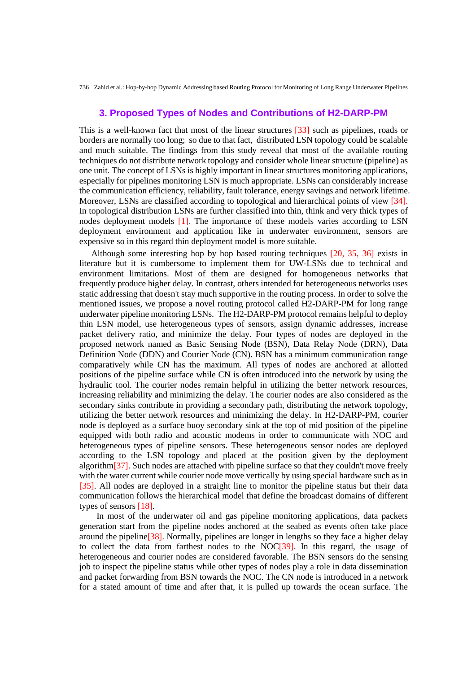# **3. Proposed Types of Nodes and Contributions of H2-DARP-PM**

This is a well-known fact that most of the linear structures [\[33\]](#page-30-8) such as pipelines, roads or borders are normally too long; so due to that fact, distributed LSN topology could be scalable and much suitable. The findings from this study reveal that most of the available routing techniques do not distribute network topology and consider whole linear structure (pipeline) as one unit. The concept of LSNs is highly important in linear structures monitoring applications, especially for pipelines monitoring LSN is much appropriate. LSNs can considerably increase the communication efficiency, reliability, fault tolerance, energy savings and network lifetime. Moreover, LSNs are classified according to topological and hierarchical points of view [\[34\]](#page-30-9). In topological distribution LSNs are further classified into thin, think and very thick types of nodes deployment models [\[1\]](#page-28-0). The importance of these models varies according to LSN deployment environment and application like in underwater environment, sensors are expensive so in this regard thin deployment model is more suitable.

Although some interesting hop by hop based routing techniques [\[20,](#page-29-13) [35,](#page-30-10) [36\]](#page-30-11) exists in literature but it is cumbersome to implement them for UW-LSNs due to technical and environment limitations. Most of them are designed for homogeneous networks that frequently produce higher delay. In contrast, others intended for heterogeneous networks uses static addressing that doesn't stay much supportive in the routing process. In order to solve the mentioned issues, we propose a novel routing protocol called H2-DARP-PM for long range underwater pipeline monitoring LSNs. The H2-DARP-PM protocol remains helpful to deploy thin LSN model, use heterogeneous types of sensors, assign dynamic addresses, increase packet delivery ratio, and minimize the delay. Four types of nodes are deployed in the proposed network named as Basic Sensing Node (BSN), Data Relay Node (DRN), Data Definition Node (DDN) and Courier Node (CN). BSN has a minimum communication range comparatively while CN has the maximum. All types of nodes are anchored at allotted positions of the pipeline surface while CN is often introduced into the network by using the hydraulic tool. The courier nodes remain helpful in utilizing the better network resources, increasing reliability and minimizing the delay. The courier nodes are also considered as the secondary sinks contribute in providing a secondary path, distributing the network topology, utilizing the better network resources and minimizing the delay. In H2-DARP-PM, courier node is deployed as a surface buoy secondary sink at the top of mid position of the pipeline equipped with both radio and acoustic modems in order to communicate with NOC and heterogeneous types of pipeline sensors. These heterogeneous sensor nodes are deployed according to the LSN topology and placed at the position given by the deployment algorithm[\[37\]](#page-30-12). Such nodes are attached with pipeline surface so that they couldn't move freely with the water current while courier node move vertically by using special hardware such as in [\[35\]](#page-30-10). All nodes are deployed in a straight line to monitor the pipeline status but their data communication follows the hierarchical model that define the broadcast domains of different types of sensors [\[18\]](#page-29-10).

In most of the underwater oil and gas pipeline monitoring applications, data packets generation start from the pipeline nodes anchored at the seabed as events often take place around the pipeline[\[38\]](#page-31-0). Normally, pipelines are longer in lengths so they face a higher delay to collect the data from farthest nodes to the NOC[\[39\]](#page-31-1). In this regard, the usage of heterogeneous and courier nodes are considered favorable. The BSN sensors do the sensing job to inspect the pipeline status while other types of nodes play a role in data dissemination and packet forwarding from BSN towards the NOC. The CN node is introduced in a network for a stated amount of time and after that, it is pulled up towards the ocean surface. The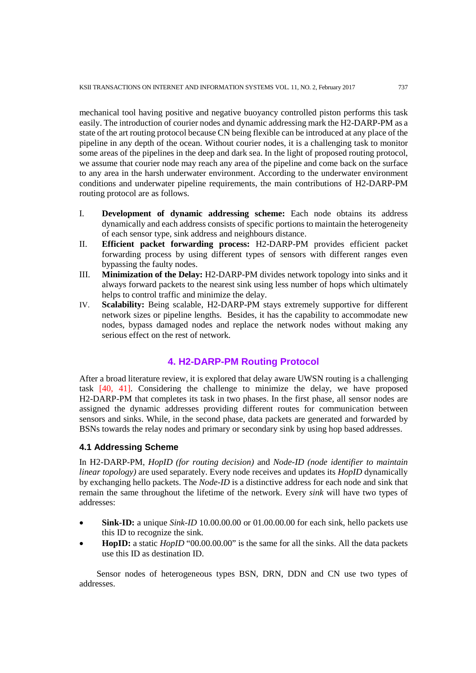mechanical tool having positive and negative buoyancy controlled piston performs this task easily. The introduction of courier nodes and dynamic addressing mark the H2-DARP-PM as a state of the art routing protocol because CN being flexible can be introduced at any place of the pipeline in any depth of the ocean. Without courier nodes, it is a challenging task to monitor some areas of the pipelines in the deep and dark sea. In the light of proposed routing protocol, we assume that courier node may reach any area of the pipeline and come back on the surface to any area in the harsh underwater environment. According to the underwater environment conditions and underwater pipeline requirements, the main contributions of H2-DARP-PM routing protocol are as follows.

- I. **Development of dynamic addressing scheme:** Each node obtains its address dynamically and each address consists of specific portions to maintain the heterogeneity of each sensor type, sink address and neighbours distance.
- II. **Efficient packet forwarding process:** H2-DARP-PM provides efficient packet forwarding process by using different types of sensors with different ranges even bypassing the faulty nodes.
- III. **Minimization of the Delay:** H2-DARP-PM divides network topology into sinks and it always forward packets to the nearest sink using less number of hops which ultimately helps to control traffic and minimize the delay.
- IV. **Scalability:** Being scalable, H2-DARP-PM stays extremely supportive for different network sizes or pipeline lengths. Besides, it has the capability to accommodate new nodes, bypass damaged nodes and replace the network nodes without making any serious effect on the rest of network.

# **4. H2-DARP-PM Routing Protocol**

After a broad literature review, it is explored that delay aware UWSN routing is a challenging task [\[40,](#page-31-2) [41\]](#page-31-3). Considering the challenge to minimize the delay, we have proposed H2-DARP-PM that completes its task in two phases. In the first phase, all sensor nodes are assigned the dynamic addresses providing different routes for communication between sensors and sinks. While, in the second phase, data packets are generated and forwarded by BSNs towards the relay nodes and primary or secondary sink by using hop based addresses.

# **4.1 Addressing Scheme**

In H2-DARP-PM, *HopID (for routing decision)* and *Node-ID (node identifier to maintain linear topology)* are used separately. Every node receives and updates its *HopID* dynamically by exchanging hello packets. The *Node-ID* is a distinctive address for each node and sink that remain the same throughout the lifetime of the network. Every *sink* will have two types of addresses:

- **Sink-ID:** a unique *Sink-ID* 10.00.00.00 or 01.00.00.00 for each sink, hello packets use this ID to recognize the sink.
- **HopID:** a static *HopID* "00.00.00.00" is the same for all the sinks. All the data packets use this ID as destination ID.

Sensor nodes of heterogeneous types BSN, DRN, DDN and CN use two types of addresses.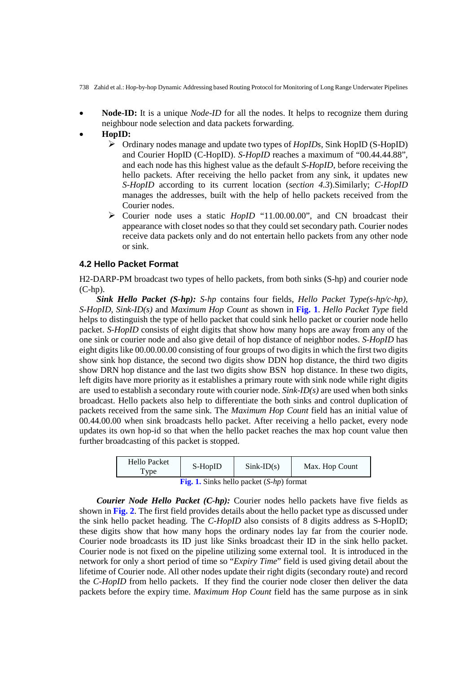- **Node-ID:** It is a unique *Node-ID* for all the nodes. It helps to recognize them during neighbour node selection and data packets forwarding.
- **HopID:**
	- Ordinary nodes manage and update two types of *HopIDs*, Sink HopID (S-HopID) and Courier HopID (C-HopID). *S-HopID* reaches a maximum of "00.44.44.88", and each node has this highest value as the default *S-HopID*, before receiving the hello packets. After receiving the hello packet from any sink, it updates new *S-HopID* according to its current location (*section 4.3*).Similarly; *C-HopID* manages the addresses, built with the help of hello packets received from the Courier nodes.
	- Courier node uses a static *HopID* "11.00.00.00", and CN broadcast their appearance with closet nodes so that they could set secondary path. Courier nodes receive data packets only and do not entertain hello packets from any other node or sink.

# **4.2 Hello Packet Format**

H2-DARP-PM broadcast two types of hello packets, from both sinks (S-hp) and courier node  $(C-hp)$ .

*Sink Hello Packet (S-hp): S-hp* contains four fields, *Hello Packet Type(s-hp/c-hp)*, *S-HopID, Sink-ID(s)* and *Maximum Hop Count* as shown in **Fig. 1**. *Hello Packet Type* field helps to distinguish the type of hello packet that could sink hello packet or courier node hello packet. *S-HopID* consists of eight digits that show how many hops are away from any of the one sink or courier node and also give detail of hop distance of neighbor nodes. *S-HopID* has eight digits like 00.00.00.00 consisting of four groups of two digits in which the first two digits show sink hop distance, the second two digits show DDN hop distance, the third two digits show DRN hop distance and the last two digits show BSN hop distance. In these two digits, left digits have more priority as it establishes a primary route with sink node while right digits are used to establish a secondary route with courier node. *Sink-ID(s)* are used when both sinks broadcast. Hello packets also help to differentiate the both sinks and control duplication of packets received from the same sink. The *Maximum Hop Count* field has an initial value of 00.44.00.00 when sink broadcasts hello packet. After receiving a hello packet, every node updates its own hop-id so that when the hello packet reaches the max hop count value then further broadcasting of this packet is stopped.

| Hello Packet<br>Tvpe                              | S-HopID | $Sink-ID(s)$ | Max. Hop Count |  |  |  |
|---------------------------------------------------|---------|--------------|----------------|--|--|--|
| <b>Fig. 1.</b> Sinks hello packet $(S-hp)$ format |         |              |                |  |  |  |

*Courier Node Hello Packet (C-hp):* Courier nodes hello packets have five fields as shown in **Fig. 2**. The first field provides details about the hello packet type as discussed under the sink hello packet heading. The *C-HopID* also consists of 8 digits address as S-HopID; these digits show that how many hops the ordinary nodes lay far from the courier node. Courier node broadcasts its ID just like Sinks broadcast their ID in the sink hello packet. Courier node is not fixed on the pipeline utilizing some external tool. It is introduced in the network for only a short period of time so "*Expiry Time*" field is used giving detail about the lifetime of Courier node. All other nodes update their right digits (secondary route) and record the *C-HopID* from hello packets. If they find the courier node closer then deliver the data packets before the expiry time. *Maximum Hop Count* field has the same purpose as in sink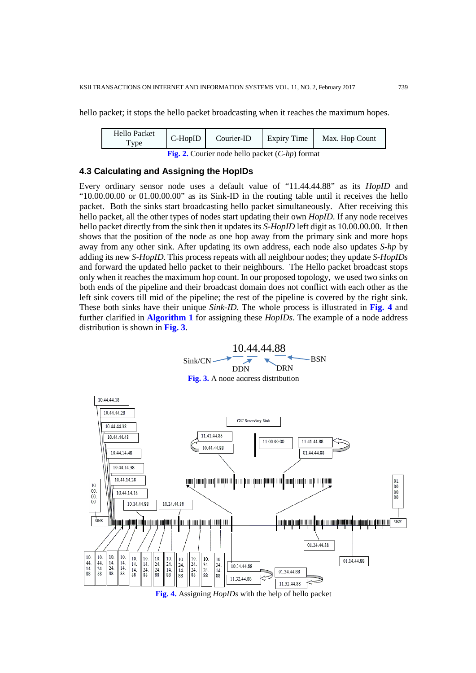hello packet; it stops the hello packet broadcasting when it reaches the maximum hopes.

| <b>Hello Packet</b><br>Type | $C-HopID$ | Courier-ID | Expiry Time              | Max. Hop Count |
|-----------------------------|-----------|------------|--------------------------|----------------|
|                             |           |            | $\overline{\phantom{a}}$ |                |

**Fig. 2.** Courier node hello packet (*C-hp*) format

# **4.3 Calculating and Assigning the HopIDs**

Every ordinary sensor node uses a default value of "11.44.44.88" as its *HopID* and "10.00.00.00 or 01.00.00.00" as its Sink-ID in the routing table until it receives the hello packet. Both the sinks start broadcasting hello packet simultaneously. After receiving this hello packet, all the other types of nodes start updating their own *HopID*. If any node receives hello packet directly from the sink then it updates its *S-HopID* left digit as 10.00.00.00. It then shows that the position of the node as one hop away from the primary sink and more hops away from any other sink. After updating its own address, each node also updates *S-hp* by adding its new *S-HopID*. This process repeats with all neighbour nodes; they update *S-HopIDs* and forward the updated hello packet to their neighbours. The Hello packet broadcast stops only when it reaches the maximum hop count. In our proposed topology, we used two sinks on both ends of the pipeline and their broadcast domain does not conflict with each other as the left sink covers till mid of the pipeline; the rest of the pipeline is covered by the right sink. These both sinks have their unique *Sink-ID*. The whole process is illustrated in **Fig. 4** and further clarified in **Algorithm 1** for assigning these *HopIDs*. The example of a node address distribution is shown in **Fig. 3**.



**Fig. 4.** Assigning *HopIDs* with the help of hello packet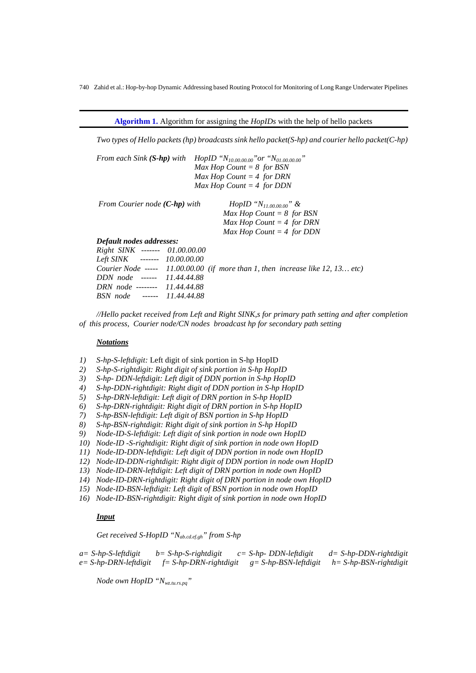#### **Algorithm 1.** Algorithm for assigning the *HopIDs* with the help of hello packets

*Two types of Hello packets (hp) broadcasts sink hello packet(S-hp) and courier hello packet(C-hp)* 

| From each Sink (S-hp) with             | $HopID$ " $N_{10,00,00,00}$ " or " $N_{01,00,00,00}$ "<br>Max Hop Count = $8$ for BSN<br>Max Hop Count = 4 for DRN<br>$Max Hop$ Count = 4 for DDN |
|----------------------------------------|---------------------------------------------------------------------------------------------------------------------------------------------------|
| From Courier node ( <b>C-hp</b> ) with | HopID " $N_{11,00,00,00}$ " &<br>Max Hop Count = $8$ for BSN<br>Max Hop Count $=$ 4 for DRN<br>Max Hop Count = $4$ for DDN                        |
| Default nodes addresses:               |                                                                                                                                                   |
| Right SINK ------- 01.00.00.00         |                                                                                                                                                   |
| Left SINK ------- 10.00.00.00          |                                                                                                                                                   |
|                                        | Courier Node $\frac{1}{100000000}$ (if more than 1, then increase like 12, 13 etc)                                                                |
| DDN node ------ 11.44.44.88            |                                                                                                                                                   |
| DRN node -------- 11.44.44.88          |                                                                                                                                                   |
| BSN node ------ 11.44.44.88            |                                                                                                                                                   |

*//Hello packet received from Left and Right SINK,s for primary path setting and after completion of this process, Courier node/CN nodes broadcast hp for secondary path setting*

#### *Notations*

- *1) S-hp-S-leftdigit:* Left digit of sink portion in S-hp HopID
- *2) S-hp-S-rightdigit: Right digit of sink portion in S-hp HopID*
- *3) S-hp- DDN-leftdigit: Left digit of DDN portion in S-hp HopID*
- *4) S-hp-DDN-rightdigit: Right digit of DDN portion in S-hp HopID*
- *5) S-hp-DRN-leftdigit: Left digit of DRN portion in S-hp HopID*
- *6) S-hp-DRN-rightdigit: Right digit of DRN portion in S-hp HopID*
- *7) S-hp-BSN-leftdigit: Left digit of BSN portion in S-hp HopID*
- *8) S-hp-BSN-rightdigit: Right digit of sink portion in S-hp HopID*
- *9) Node-ID-S-leftdigit: Left digit of sink portion in node own HopID*
- *10) Node-ID -S-rightdigit: Right digit of sink portion in node own HopID*
- *11) Node-ID-DDN-leftdigit: Left digit of DDN portion in node own HopID*
- *12) Node-ID-DDN-rightdigit: Right digit of DDN portion in node own HopID*
- *13) Node-ID-DRN-leftdigit: Left digit of DRN portion in node own HopID*
- *14) Node-ID-DRN-rightdigit: Right digit of DRN portion in node own HopID*
- *15) Node-ID-BSN-leftdigit: Left digit of BSN portion in node own HopID*
- *16) Node-ID-BSN-rightdigit: Right digit of sink portion in node own HopID*

#### *Input*

*Get received S-HopID "Nab.cd.ef.gh" from S-hp*

| $a = S$ -hp-S-leftdigit   | $b = S$ -hp-S-rightdigit   | $c = S$ -hp-DDN-leftdigit | $d= S-hp\text{-}DDN\text{-}rightdigit$ |
|---------------------------|----------------------------|---------------------------|----------------------------------------|
| $e = S$ -hp-DRN-leftdigit | $f = S$ -hp-DRN-rightdigit | $g = S$ -hp-BSN-leftdigit | $h = S$ -hp-BSN-rightdigit             |

*Node own HopID "Nwz.tu.rs.pq"*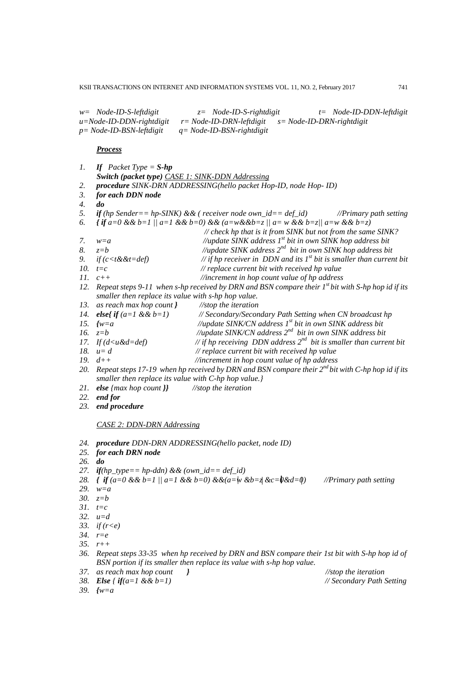| $w=Node-ID-S-left digit$      | $z=Node-ID-S-right digit$                                  | $t=Node-ID-DDN-left digit$ |
|-------------------------------|------------------------------------------------------------|----------------------------|
| $u = Node$ -ID-DDN-rightdigit | $r = Node$ -ID-DRN-leftdigit $s = Node$ -ID-DRN-rightdigit |                            |
| $p = Node$ -ID-BSN-leftdigit  | $q = Node$ -ID-BSN-rightdigit                              |                            |

#### *Process*

| 1.  | <b>If</b> Packet Type = $S$ -hp                     |                                                                                                            |
|-----|-----------------------------------------------------|------------------------------------------------------------------------------------------------------------|
|     | Switch (packet type) CASE 1: SINK-DDN Addressing    |                                                                                                            |
| 2.  |                                                     | procedure SINK-DRN ADDRESSING(hello packet Hop-ID, node Hop-ID)                                            |
| 3.  | for each DDN node                                   |                                                                                                            |
| 4.  | $\boldsymbol{d}\boldsymbol{o}$                      |                                                                                                            |
|     |                                                     |                                                                                                            |
| 5.  |                                                     | <b>if</b> (hp Sender== hp-SINK) & $\&$ (receiver node own_id== def_id) //Primary path setting              |
| 6.  |                                                     | $\int \int f a = 0 \&& b = 1 / a = 1 \&& b = 0) \&& (a = w \&& b = z / a = w \&& b = z / a = w \&& b = z)$ |
|     |                                                     | $\mathcal{N}$ check hp that is it from SINK but not from the same SINK?                                    |
| 7.  | $w=a$                                               | //update SINK address $1^{st}$ bit in own SINK hop address bit                                             |
|     | 8. $z=b$                                            | //update SINK address $2^{nd}$ bit in own SINK hop address bit                                             |
|     | 9. if $(c < t \& \& t = def)$                       | // if hp receiver in DDN and its $I^{st}$ bit is smaller than current bit                                  |
|     | 10. $t=c$                                           | // replace current bit with received hp value                                                              |
|     | $11. \t c++$                                        | //increment in hop count value of hp address                                                               |
|     |                                                     | 12. Repeat steps 9-11 when s-hp received by DRN and BSN compare their $Ist$ bit with S-hp hop id if its    |
|     | smaller then replace its value with s-hp hop value. |                                                                                                            |
| 13. | as reach max hop count $\}$ //stop the iteration    |                                                                                                            |
|     |                                                     | 14. <b>else</b> f $f(a=1 \& b=1)$ // Secondary/Secondary Path Setting when CN broadcast hp                 |
|     | 15. $\{w = a\}$                                     | //update SINK/CN address $Ist$ bit in own SINK address bit                                                 |
|     | 16. $z=b$                                           | //update SINK/CN address $2^{nd}$ bit in own SINK address bit                                              |
|     | 17. If $(d < u \& d = def)$                         | // if hp receiving DDN address $2^{nd}$ bit is smaller than current bit                                    |
|     | 18. $u = d$                                         | // replace current bit with received hp value                                                              |
|     |                                                     |                                                                                                            |

- *19. d++ //increment in hop count value of hp address*
- *20. Repeat steps 17-19 when hp received by DRN and BSN compare their 2nd bit with C-hp hop id if its smaller then replace its value with C-hp hop value.}*
- *21. else {max hop count }} //stop the iteration*
- *22. end for*
- *23. end procedure*

#### *CASE 2: DDN-DRN Addressing*

- *24. procedure DDN-DRN ADDRESSING(hello packet, node ID)*
- *25. for each DRN node*
- *26. do*
- 27. *if*( $hp_type == hp-ddn)$  & & ( $own_id == def_id$ )
- *28. { if (a=0 && b=1 || a=1 && b=0) &&(a=w &b=z &c=0&d=0) //Primary path setting*
- *29. w=a*
- *30. z=b*
- *31. t=c*
- *32. u=d*
- *33. if (r<e)*
- *34. r=e*
- *35. r++*
- *36. Repeat steps 33-35 when hp received by DRN and BSN compare their 1st bit with S-hp hop id of BSN portion if its smaller then replace its value with s-hp hop value.*
- *37. as reach max hop count } //stop the iteration*
- *39. {w=a*
- *38. Else { if(a=1 && b=1) // Secondary Path Setting*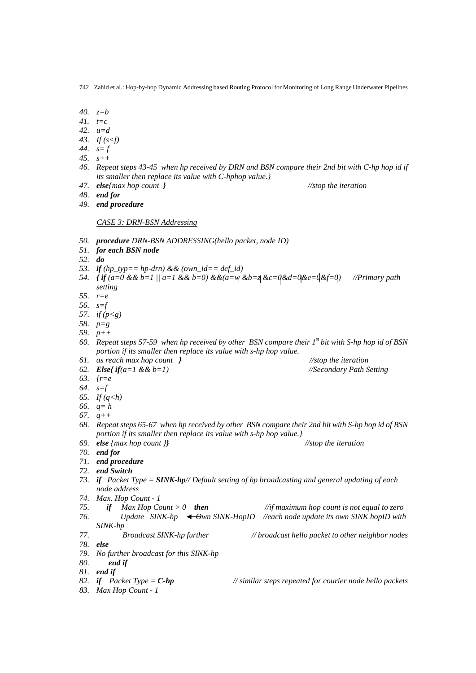- *40. z=b*
- *41. t=c*
- *42. u=d*
- *43. If (s<f)*
- *44. s= f*
- *45. s++*
- *46. Repeat steps 43-45 when hp received by DRN and BSN compare their 2nd bit with C-hp hop id if its smaller then replace its value with C-hphop value.}*
- *47. else{max hop count } //stop the iteration*
- *48. end for*

*49. end procedure*

# *CASE 3: DRN-BSN Addressing*

- *50. procedure DRN-BSN ADDRESSING(hello packet, node ID)*
- *51. for each BSN node*
- *52. do*
- *53. if*  $(hp_typ == hp-drn) \& \& (own_id == def_id)$
- *54. { if (a=0 && b=1 || a=1 && b=0) &&(a=w &b=z &c=0&d=0&e=0&f=0) //Primary path setting*
- *55. r=e*
- *56. s=f*
- *57. if (p<g)*
- *58. p=g*
- *59. p++*
- *60. Repeat steps 57-59 when hp received by other BSN compare their 1st bit with S-hp hop id of BSN portion if its smaller then replace its value with s-hp hop value.*
- *61. as reach max hop count } //stop the iteration*
- *62. Else{ if(a=1 && b=1) //Secondary Path Setting*
- *63. {r=e*
- *64. s=f*
- *65. If (q<h)*
- *66. q= h*
- *67. q++*
- *68. Repeat steps 65-67 when hp received by other BSN compare their 2nd bit with S-hp hop id of BSN portion if its smaller then replace its value with s-hp hop value.}*
- *69. else {max hop count }} //stop the iteration*
- *70. end for*
- *71. end procedure*
- *72. end Switch*
- *73. if Packet Type = SINK-hp// Default setting of hp broadcasting and general updating of each node address*
- *74. Max. Hop Count - 1*
- *75. if Max Hop Count > 0 then //if maximum hop count is not equal to zero*
- *76. Update SINK-hp*  $\triangleleft$  *Own SINK-HopID //each node update its own SINK hopID with SINK-hp*
- *77. Broadcast SINK-hp further // broadcast hello packet to other neighbor nodes*
- *78. else*
- *79. No further broadcast for this SINK-hp*
- *80. end if*
- 
- 81. *end if*<br>82. *if* Packet Type = **C-hp**
- *82. if Packet Type = C-hp // similar steps repeated for courier node hello packets*

*83. Max Hop Count - 1*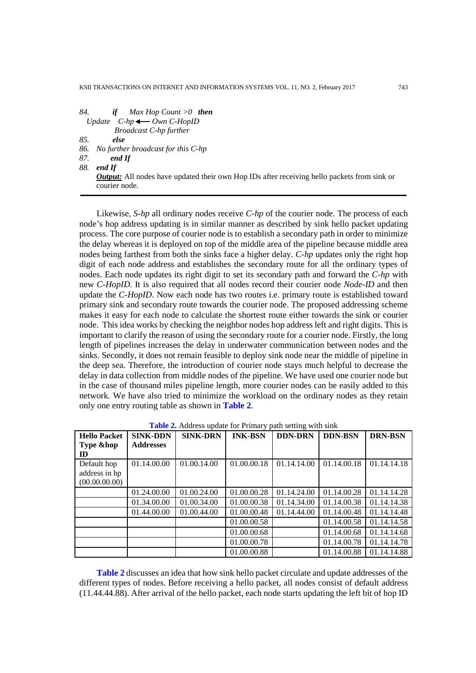*84. if Max Hop Count >0 then Update*  $C-hp \leftarrow Own C-HopID$  *Broadcast C-hp further*

*85. else* 

*86. No further broadcast for this C-hp*

*87. end If*

*88. end If*

*Output:* All nodes have updated their own Hop IDs after receiving hello packets from sink or courier node.

Likewise, *S-hp* all ordinary nodes receive *C-hp* of the courier node. The process of each node's hop address updating is in similar manner as described by sink hello packet updating process. The core purpose of courier node is to establish a secondary path in order to minimize the delay whereas it is deployed on top of the middle area of the pipeline because middle area nodes being farthest from both the sinks face a higher delay. *C-hp* updates only the right hop digit of each node address and establishes the secondary route for all the ordinary types of nodes. Each node updates its right digit to set its secondary path and forward the *C-hp* with new *C-HopID.* It is also required that all nodes record their courier node *Node-ID* and then update the *C-HopID*. Now each node has two routes i.e. primary route is established toward primary sink and secondary route towards the courier node. The proposed addressing scheme makes it easy for each node to calculate the shortest route either towards the sink or courier node. This idea works by checking the neighbor nodes hop address left and right digits. This is important to clarify the reason of using the secondary route for a courier node. Firstly, the long length of pipelines increases the delay in underwater communication between nodes and the sinks. Secondly, it does not remain feasible to deploy sink node near the middle of pipeline in the deep sea. Therefore, the introduction of courier node stays much helpful to decrease the delay in data collection from middle nodes of the pipeline. We have used one courier node but in the case of thousand miles pipeline length, more courier nodes can be easily added to this network. We have also tried to minimize the workload on the ordinary nodes as they retain only one entry routing table as shown in **Table 2**.

| <b>Hello Packet</b>                           | <b>SINK-DDN</b>  | <b>SINK-DRN</b> | <b>INK-BSN</b> | <b>DDN-DRN</b> | <b>DDN-BSN</b> | <b>DRN-BSN</b> |
|-----------------------------------------------|------------------|-----------------|----------------|----------------|----------------|----------------|
| <b>Type &amp;hop</b>                          | <b>Addresses</b> |                 |                |                |                |                |
| ID                                            |                  |                 |                |                |                |                |
| Default hop<br>address in hp<br>(00.00.00.00) | 01.14.00.00      | 01.00.14.00     | 01.00.00.18    | 01.14.14.00    | 01.14.00.18    | 01.14.14.18    |
|                                               | 01.24.00.00      | 01.00.24.00     | 01.00.00.28    | 01.14.24.00    | 01.14.00.28    | 01.14.14.28    |
|                                               | 01.34.00.00      | 01.00.34.00     | 01.00.00.38    | 01.14.34.00    | 01.14.00.38    | 01.14.14.38    |
|                                               | 01.44.00.00      | 01.00.44.00     | 01.00.00.48    | 01.14.44.00    | 01.14.00.48    | 01.14.14.48    |
|                                               |                  |                 | 01.00.00.58    |                | 01.14.00.58    | 01.14.14.58    |
|                                               |                  |                 | 01.00.00.68    |                | 01.14.00.68    | 01.14.14.68    |
|                                               |                  |                 | 01.00.00.78    |                | 01.14.00.78    | 01.14.14.78    |
|                                               |                  |                 | 01.00.00.88    |                | 01.14.00.88    | 01.14.14.88    |

**Table 2.** Address update for Primary path setting with sink

**Table 2** discusses an idea that how sink hello packet circulate and update addresses of the different types of nodes. Before receiving a hello packet, all nodes consist of default address (11.44.44.88). After arrival of the hello packet, each node starts updating the left bit of hop ID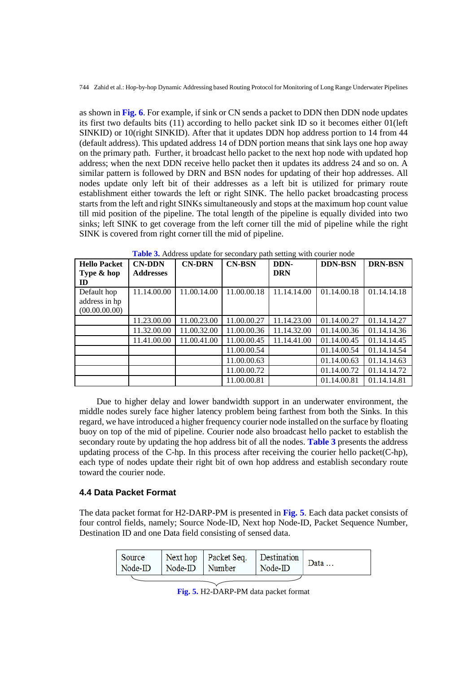as shown in **Fig. 6**. For example, if sink or CN sends a packet to DDN then DDN node updates its first two defaults bits (11) according to hello packet sink ID so it becomes either 01(left SINKID) or 10(right SINKID). After that it updates DDN hop address portion to 14 from 44 (default address). This updated address 14 of DDN portion means that sink lays one hop away on the primary path. Further, it broadcast hello packet to the next hop node with updated hop address; when the next DDN receive hello packet then it updates its address 24 and so on. A similar pattern is followed by DRN and BSN nodes for updating of their hop addresses. All nodes update only left bit of their addresses as a left bit is utilized for primary route establishment either towards the left or right SINK. The hello packet broadcasting process starts from the left and right SINKs simultaneously and stops at the maximum hop count value till mid position of the pipeline. The total length of the pipeline is equally divided into two sinks; left SINK to get coverage from the left corner till the mid of pipeline while the right SINK is covered from right corner till the mid of pipeline.

| <b>Hello Packet</b><br>Type & hop<br>$\mathbf{D}$ | <b>CN-DDN</b><br><b>Addresses</b> | <b>CN-DRN</b> | <b>CN-BSN</b> | DDN-<br><b>DRN</b> | <b>DDN-BSN</b> | <b>DRN-BSN</b> |
|---------------------------------------------------|-----------------------------------|---------------|---------------|--------------------|----------------|----------------|
| Default hop<br>address in hp<br>(00.00.00.00)     | 11.14.00.00                       | 11.00.14.00   | 11.00.00.18   | 11.14.14.00        | 01.14.00.18    | 01.14.14.18    |
|                                                   | 11.23.00.00                       | 11.00.23.00   | 11.00.00.27   | 11.14.23.00        | 01.14.00.27    | 01.14.14.27    |
|                                                   | 11.32.00.00                       | 11.00.32.00   | 11.00.00.36   | 11.14.32.00        | 01.14.00.36    | 01.14.14.36    |
|                                                   | 11.41.00.00                       | 11.00.41.00   | 11.00.00.45   | 11.14.41.00        | 01.14.00.45    | 01.14.14.45    |
|                                                   |                                   |               | 11.00.00.54   |                    | 01.14.00.54    | 01.14.14.54    |
|                                                   |                                   |               | 11.00.00.63   |                    | 01.14.00.63    | 01.14.14.63    |
|                                                   |                                   |               | 11.00.00.72   |                    | 01.14.00.72    | 01.14.14.72    |
|                                                   |                                   |               | 11.00.00.81   |                    | 01.14.00.81    | 01.14.14.81    |

**Table 3.** Address update for secondary path setting with courier node

Due to higher delay and lower bandwidth support in an underwater environment, the middle nodes surely face higher latency problem being farthest from both the Sinks. In this regard, we have introduced a higher frequency courier node installed on the surface by floating buoy on top of the mid of pipeline. Courier node also broadcast hello packet to establish the secondary route by updating the hop address bit of all the nodes. **Table 3** presents the address updating process of the C-hp. In this process after receiving the courier hello packet(C-hp), each type of nodes update their right bit of own hop address and establish secondary route toward the courier node.

# **4.4 Data Packet Format**

The data packet format for H2-DARP-PM is presented in **Fig. 5**. Each data packet consists of four control fields, namely; Source Node-ID, Next hop Node-ID, Packet Sequence Number, Destination ID and one Data field consisting of sensed data.

| Node-ID Node-ID Number Node-ID | Source | Next hop   Packet Seq.   Destination |  | Data |
|--------------------------------|--------|--------------------------------------|--|------|
|--------------------------------|--------|--------------------------------------|--|------|

**Fig. 5.** H2-DARP-PM data packet format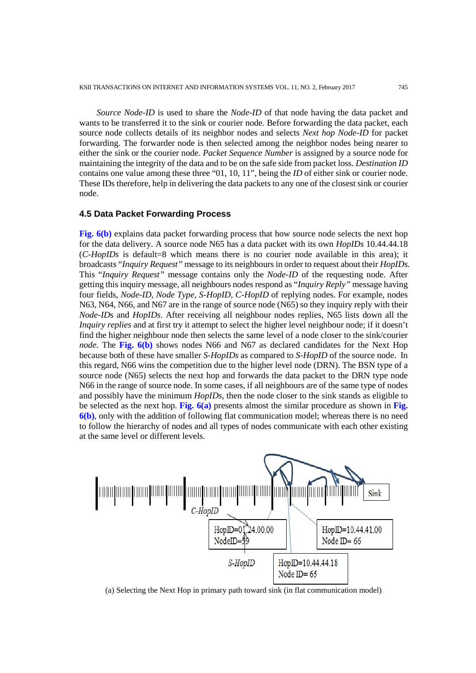*Source Node-ID* is used to share the *Node-ID* of that node having the data packet and wants to be transferred it to the sink or courier node*.* Before forwarding the data packet, each source node collects details of its neighbor nodes and selects *Next hop Node-ID* for packet forwarding. The forwarder node is then selected among the neighbor nodes being nearer to either the sink or the courier node. *Packet Sequence Number* is assigned by a source node for maintaining the integrity of the data and to be on the safe side from packet loss. *Destination ID*  contains one value among these three "01, 10, 11", being the *ID* of either sink or courier node. These IDs therefore, help in delivering the data packets to any one of the closest sink or courier node.

### **4.5 Data Packet Forwarding Process**

**Fig. 6(b)** explains data packet forwarding process that how source node selects the next hop for the data delivery. A source node N65 has a data packet with its own *HopIDs* 10.44.44.18 (*C-HopIDs* is default=8 which means there is no courier node available in this area); it broadcasts "*Inquiry Request"* message to its neighbours in order to request about their *HopIDs.* This "*Inquiry Request"* message contains only the *Node-ID* of the requesting node. After getting this inquiry message, all neighbours nodes respond as "*Inquiry Reply"* message having four fields, *Node-ID*, *Node Type, S-HopID, C-HopID* of replying nodes. For example, nodes N63, N64, N66, and N67 are in the range of source node (N65) so they inquiry reply with their *Node-ID*s and *HopIDs*. After receiving all neighbour nodes replies, N65 lists down all the *Inquiry replies* and at first try it attempt to select the higher level neighbour node; if it doesn't find the higher neighbour node then selects the same level of a node closer to the sink/courier *node.* The **Fig. 6(b)** shows nodes N66 and N67 as declared candidates for the Next Hop because both of these have smaller *S-HopIDs* as compared to *S-HopID* of the source node. In this regard, N66 wins the competition due to the higher level node (DRN). The BSN type of a source node (N65) selects the next hop and forwards the data packet to the DRN type node N66 in the range of source node. In some cases, if all neighbours are of the same type of nodes and possibly have the minimum *HopIDs*, then the node closer to the sink stands as eligible to be selected as the next hop. **Fig. 6(a)** presents almost the similar procedure as shown in **Fig. 6(b)**, only with the addition of following flat communication model; whereas there is no need to follow the hierarchy of nodes and all types of nodes communicate with each other existing at the same level or different levels.



(a) Selecting the Next Hop in primary path toward sink (in flat communication model)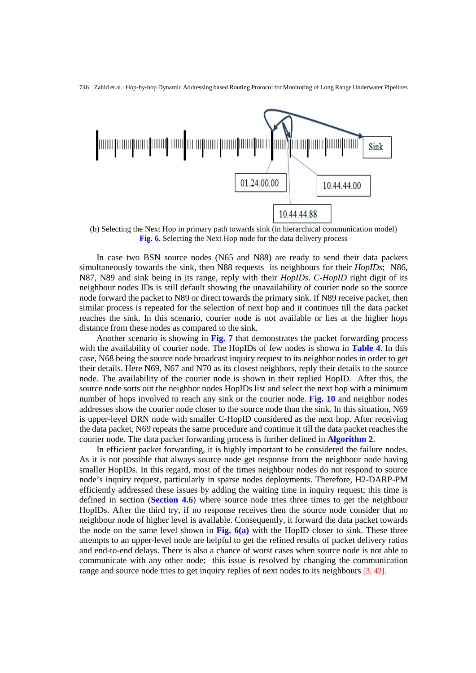

(b) Selecting the Next Hop in primary path towards sink (in hierarchical communication model) **Fig. 6.** Selecting the Next Hop node for the data delivery process

In case two BSN source nodes (N65 and N88) are ready to send their data packets simultaneously towards the sink, then N88 requests its neighbours for their *HopIDs*; N86, N87, N89 and sink being in its range, reply with their *HopIDs*. *C-HopID* right digit of its neighbour nodes IDs is still default showing the unavailability of courier node so the source node forward the packet to N89 or direct towards the primary sink. If N89 receive packet, then similar process is repeated for the selection of next hop and it continues till the data packet reaches the sink. In this scenario, courier node is not available or lies at the higher hops distance from these nodes as compared to the sink.

Another scenario is showing in **Fig. 7** that demonstrates the packet forwarding process with the availability of courier node. The HopIDs of few nodes is shown in **Table 4**. In this case, N68 being the source node broadcast inquiry request to its neighbor nodes in order to get their details. Here N69, N67 and N70 as its closest neighbors, reply their details to the source node. The availability of the courier node is shown in their replied HopID. After this, the source node sorts out the neighbor nodes HopIDs list and select the next hop with a minimum number of hops involved to reach any sink or the courier node. **Fig. 10** and neighbor nodes addresses show the courier node closer to the source node than the sink. In this situation, N69 is upper-level DRN node with smaller C-HopID considered as the next hop. After receiving the data packet, N69 repeats the same procedure and continue it till the data packet reaches the courier node. The data packet forwarding process is further defined in **Algorithm 2**.

In efficient packet forwarding, it is highly important to be considered the failure nodes. As it is not possible that always source node get response from the neighbour node having smaller HopIDs. In this regard, most of the times neighbour nodes do not respond to source node's inquiry request, particularly in sparse nodes deployments. Therefore, H2-DARP-PM efficiently addressed these issues by adding the waiting time in inquiry request; this time is defined in section (**Section 4.6**) where source node tries three times to get the neighbour HopIDs. After the third try, if no response receives then the source node consider that no neighbour node of higher level is available. Consequently, it forward the data packet towards the node on the same level shown in **Fig. 6(a)** with the HopID closer to sink. These three attempts to an upper-level node are helpful to get the refined results of packet delivery ratios and end-to-end delays. There is also a chance of worst cases when source node is not able to communicate with any other node; this issue is resolved by changing the communication range and source node tries to get inquiry replies of next nodes to its neighbours [\[3,](#page-28-2) [42\]](#page-31-4).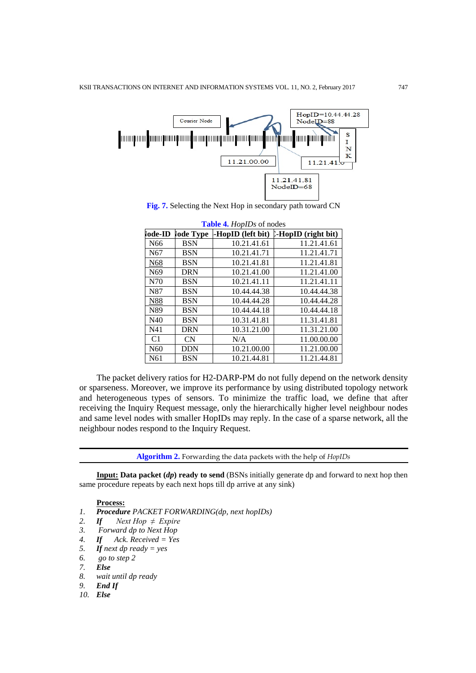

**Fig. 7.** Selecting the Next Hop in secondary path toward CN

| <b>Jode-ID</b>  | <b>Jode Type</b> | -HopID (left bit) | :-HopID (right bit) |
|-----------------|------------------|-------------------|---------------------|
| N <sub>66</sub> | <b>BSN</b>       | 10.21.41.61       | 11.21.41.61         |
| N67             | <b>BSN</b>       | 10.21.41.71       | 11.21.41.71         |
| N68             | <b>BSN</b>       | 10.21.41.81       | 11.21.41.81         |
| N <sub>69</sub> | <b>DRN</b>       | 10.21.41.00       | 11.21.41.00         |
| N70             | <b>BSN</b>       | 10.21.41.11       | 11.21.41.11         |
| N87             | <b>BSN</b>       | 10.44.44.38       | 10.44.44.38         |
| N88             | <b>BSN</b>       | 10.44.44.28       | 10.44.44.28         |
| N89             | <b>BSN</b>       | 10.44.44.18       | 10.44.44.18         |
| N40             | <b>BSN</b>       | 10.31.41.81       | 11.31.41.81         |
| N41             | DRN              | 10.31.21.00       | 11.31.21.00         |
| C <sub>1</sub>  | <b>CN</b>        | N/A               | 11.00.00.00         |
| N <sub>60</sub> | DDN              | 10.21.00.00       | 11.21.00.00         |
| N61             | <b>BSN</b>       | 10.21.44.81       | 11.21.44.81         |

The packet delivery ratios for H2-DARP-PM do not fully depend on the network density or sparseness. Moreover, we improve its performance by using distributed topology network and heterogeneous types of sensors. To minimize the traffic load, we define that after receiving the Inquiry Request message, only the hierarchically higher level neighbour nodes and same level nodes with smaller HopIDs may reply. In the case of a sparse network, all the neighbour nodes respond to the Inquiry Request.

**Algorithm 2.** Forwarding the data packets with the help of *HopIDs*

**Input: Data packet (***dp***) ready to send** (BSNs initially generate dp and forward to next hop then same procedure repeats by each next hops till dp arrive at any sink)

#### **Process:**

- *1. Procedure PACKET FORWARDING(dp, next hopIDs)*
- *2. If*  $Next Hop \neq Expire$ <br>*3. Forward dp to Next Hop*
- *3. Forward dp to Next Hop*
- *4. If Ack. Received = Yes*
- *5. If next dp ready = yes*
- *6. go to step 2*
- *7. Else*
- *8. wait until dp ready*
- *9. End If*
- *10. Else*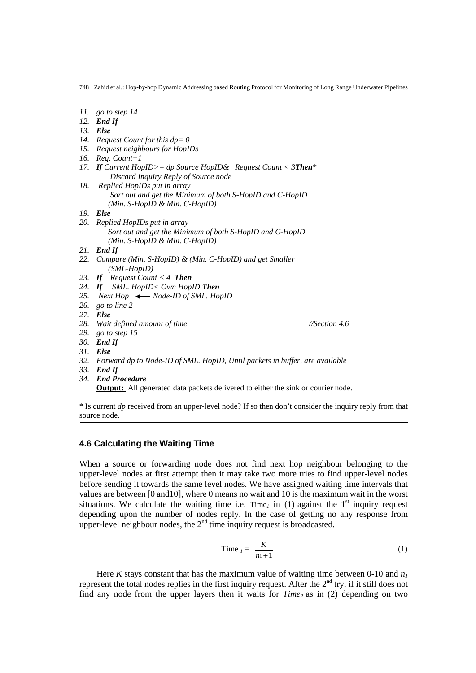- *11. go to step 14*
- *12. End If*
- *13. Else*
- *14. Request Count for this dp= 0*
- *15. Request neighbours for HopIDs*
- *16. Req. Count+1*
- *17. If Current HopID>= dp Source HopID& Request Count < 3Then\* Discard Inquiry Reply of Source node*
- *18. Replied HopIDs put in array Sort out and get the Minimum of both S-HopID and C-HopID (Min. S-HopID & Min. C-HopID)*
- *19. Else*
- *20. Replied HopIDs put in array Sort out and get the Minimum of both S-HopID and C-HopID (Min. S-HopID & Min. C-HopID)*
- *21. End If*
- *22. Compare (Min. S-HopID) & (Min. C-HopID) and get Smaller (SML-HopID)*
- *23. If Request Count < 4 Then*
- *24. If SML. HopID< Own HopID Then*
- 25. *Next Hop*  $\leftarrow$  *Node-ID of SML. HopID*
- *26. go to line 2*
- *27. Else*
- *28. Wait defined amount of time //Section 4.6*

*29. go to step 15*

- *30. End If*
- *31. Else*
- *32. Forward dp to Node-ID of SML. HopID, Until packets in buffer, are available*
- *33. End If*
- *34. End Procedure*

**Output:** All generated data packets delivered to either the sink or courier node.

 *---------------------------------------------------------------------------------------------------------------------* \* Is current *dp* received from an upper-level node? If so then don't consider the inquiry reply from that source node.

# **4.6 Calculating the Waiting Time**

When a source or forwarding node does not find next hop neighbour belonging to the upper-level nodes at first attempt then it may take two more tries to find upper-level nodes before sending it towards the same level nodes. We have assigned waiting time intervals that values are between [0 and10], where 0 means no wait and 10 is the maximum wait in the worst situations. We calculate the waiting time i.e. Time<sub>l</sub> in (1) against the  $1<sup>st</sup>$  inquiry request depending upon the number of nodes reply. In the case of getting no any response from upper-level neighbour nodes, the  $2<sup>nd</sup>$  time inquiry request is broadcasted.

$$
\text{Time }_{l} = \frac{K}{n_1 + 1} \tag{1}
$$

Here *K* stays constant that has the maximum value of waiting time between 0-10 and  $n_1$ represent the total nodes replies in the first inquiry request. After the  $2<sup>nd</sup>$  try, if it still does not find any node from the upper layers then it waits for *Time*, as in (2) depending on two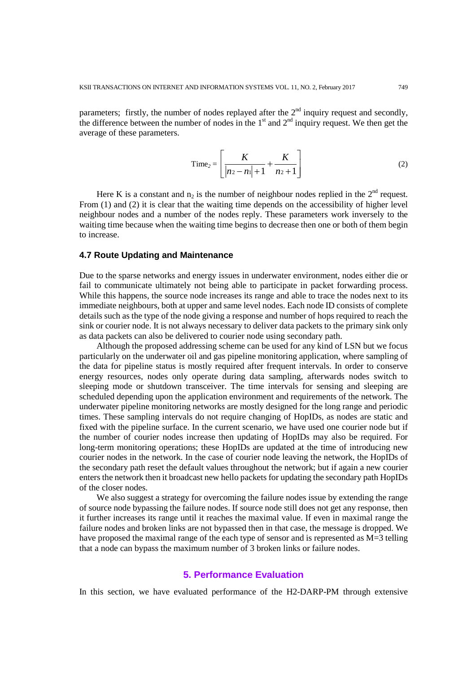parameters; firstly, the number of nodes replayed after the  $2<sup>nd</sup>$  inquiry request and secondly, the difference between the number of nodes in the  $1<sup>st</sup>$  and  $2<sup>nd</sup>$  inquiry request. We then get the average of these parameters.

$$
Time_{2} = \left[\frac{K}{|n_{2} - n_{1}| + 1} + \frac{K}{n_{2} + 1}\right]
$$
\n(2)

Here K is a constant and  $n_2$  is the number of neighbour nodes replied in the  $2<sup>nd</sup>$  request. From (1) and (2) it is clear that the waiting time depends on the accessibility of higher level neighbour nodes and a number of the nodes reply. These parameters work inversely to the waiting time because when the waiting time begins to decrease then one or both of them begin to increase.

#### **4.7 Route Updating and Maintenance**

Due to the sparse networks and energy issues in underwater environment, nodes either die or fail to communicate ultimately not being able to participate in packet forwarding process. While this happens, the source node increases its range and able to trace the nodes next to its immediate neighbours, both at upper and same level nodes. Each node ID consists of complete details such as the type of the node giving a response and number of hops required to reach the sink or courier node. It is not always necessary to deliver data packets to the primary sink only as data packets can also be delivered to courier node using secondary path.

Although the proposed addressing scheme can be used for any kind of LSN but we focus particularly on the underwater oil and gas pipeline monitoring application, where sampling of the data for pipeline status is mostly required after frequent intervals. In order to conserve energy resources, nodes only operate during data sampling, afterwards nodes switch to sleeping mode or shutdown transceiver. The time intervals for sensing and sleeping are scheduled depending upon the application environment and requirements of the network. The underwater pipeline monitoring networks are mostly designed for the long range and periodic times. These sampling intervals do not require changing of HopIDs, as nodes are static and fixed with the pipeline surface. In the current scenario, we have used one courier node but if the number of courier nodes increase then updating of HopIDs may also be required. For long-term monitoring operations; these HopIDs are updated at the time of introducing new courier nodes in the network. In the case of courier node leaving the network, the HopIDs of the secondary path reset the default values throughout the network; but if again a new courier enters the network then it broadcast new hello packets for updating the secondary path HopIDs of the closer nodes.

We also suggest a strategy for overcoming the failure nodes issue by extending the range of source node bypassing the failure nodes. If source node still does not get any response, then it further increases its range until it reaches the maximal value. If even in maximal range the failure nodes and broken links are not bypassed then in that case, the message is dropped. We have proposed the maximal range of the each type of sensor and is represented as M=3 telling that a node can bypass the maximum number of 3 broken links or failure nodes.

# **5. Performance Evaluation**

In this section, we have evaluated performance of the H2-DARP-PM through extensive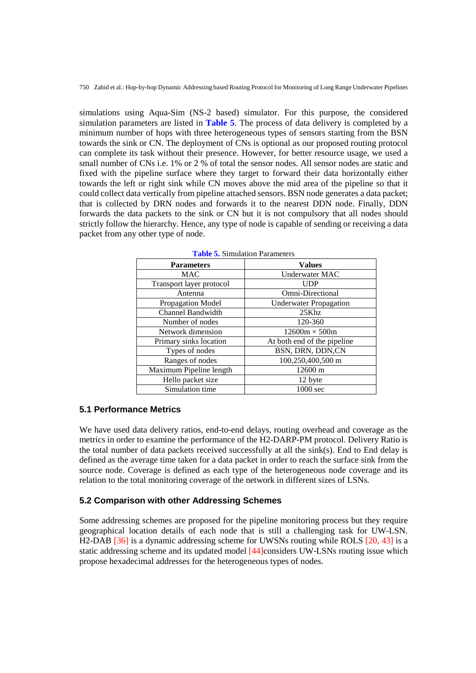simulations using Aqua-Sim (NS-2 based) simulator. For this purpose, the considered simulation parameters are listed in **Table 5**. The process of data delivery is completed by a minimum number of hops with three heterogeneous types of sensors starting from the BSN towards the sink or CN. The deployment of CNs is optional as our proposed routing protocol can complete its task without their presence. However, for better resource usage, we used a small number of CNs i.e. 1% or 2 % of total the sensor nodes. All sensor nodes are static and fixed with the pipeline surface where they target to forward their data horizontally either towards the left or right sink while CN moves above the mid area of the pipeline so that it could collect data vertically from pipeline attached sensors. BSN node generates a data packet; that is collected by DRN nodes and forwards it to the nearest DDN node. Finally, DDN forwards the data packets to the sink or CN but it is not compulsory that all nodes should strictly follow the hierarchy. Hence, any type of node is capable of sending or receiving a data packet from any other type of node.

| <b>Parameters</b>        | <b>Values</b>                 |
|--------------------------|-------------------------------|
| <b>MAC</b>               | Underwater MAC                |
| Transport layer protocol | <b>UDP</b>                    |
| Antenna                  | Omni-Directional              |
| Propagation Model        | <b>Underwater Propagation</b> |
| Channel Bandwidth        | 25Khz                         |
| Number of nodes          | 120-360                       |
| Network dimension        | $12600m \times 500m$          |
| Primary sinks location   | At both end of the pipeline   |
| Types of nodes           | BSN, DRN, DDN, CN             |
| Ranges of nodes          | 100,250,400,500 m             |
| Maximum Pipeline length  | 12600 m                       |
| Hello packet size        | 12 byte                       |
| Simulation time          | $1000$ sec                    |

**Table 5.** Simulation Parameters

# **5.1 Performance Metrics**

We have used data delivery ratios, end-to-end delays, routing overhead and coverage as the metrics in order to examine the performance of the H2-DARP-PM protocol. Delivery Ratio is the total number of data packets received successfully at all the sink(s). End to End delay is defined as the average time taken for a data packet in order to reach the surface sink from the source node. Coverage is defined as each type of the heterogeneous node coverage and its relation to the total monitoring coverage of the network in different sizes of LSNs.

# **5.2 Comparison with other Addressing Schemes**

Some addressing schemes are proposed for the pipeline monitoring process but they require geographical location details of each node that is still a challenging task for UW-LSN. H2-DAB [\[36\]](#page-30-11) is a dynamic addressing scheme for UWSNs routing while ROLS [\[20,](#page-29-13) [43\]](#page-31-5) is a static addressing scheme and its updated model [\[44\]](#page-31-6)considers UW-LSNs routing issue which propose hexadecimal addresses for the heterogeneous types of nodes.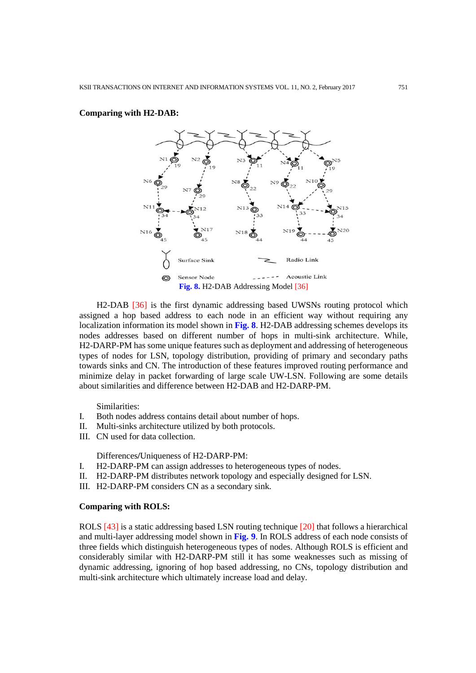#### **Comparing with H2-DAB:**



H2-DAB [\[36\]](#page-30-11) is the first dynamic addressing based UWSNs routing protocol which assigned a hop based address to each node in an efficient way without requiring any localization information its model shown in **Fig. 8**. H2-DAB addressing schemes develops its nodes addresses based on different number of hops in multi-sink architecture. While, H2-DARP-PM has some unique features such as deployment and addressing of heterogeneous types of nodes for LSN, topology distribution, providing of primary and secondary paths towards sinks and CN. The introduction of these features improved routing performance and minimize delay in packet forwarding of large scale UW-LSN. Following are some details about similarities and difference between H2-DAB and H2-DARP-PM.

Similarities:

- I. Both nodes address contains detail about number of hops.
- II. Multi-sinks architecture utilized by both protocols.
- III. CN used for data collection.

Differences**/**Uniqueness of H2-DARP-PM:

- I. H2-DARP-PM can assign addresses to heterogeneous types of nodes.
- II. H2-DARP-PM distributes network topology and especially designed for LSN.
- III. H2-DARP-PM considers CN as a secondary sink.

#### **Comparing with ROLS:**

ROLS [\[43\]](#page-31-5) is a static addressing based LSN routing technique [\[20\]](#page-29-13) that follows a hierarchical and multi-layer addressing model shown in **Fig. 9**. In ROLS address of each node consists of three fields which distinguish heterogeneous types of nodes. Although ROLS is efficient and considerably similar with H2-DARP-PM still it has some weaknesses such as missing of dynamic addressing, ignoring of hop based addressing, no CNs, topology distribution and multi-sink architecture which ultimately increase load and delay.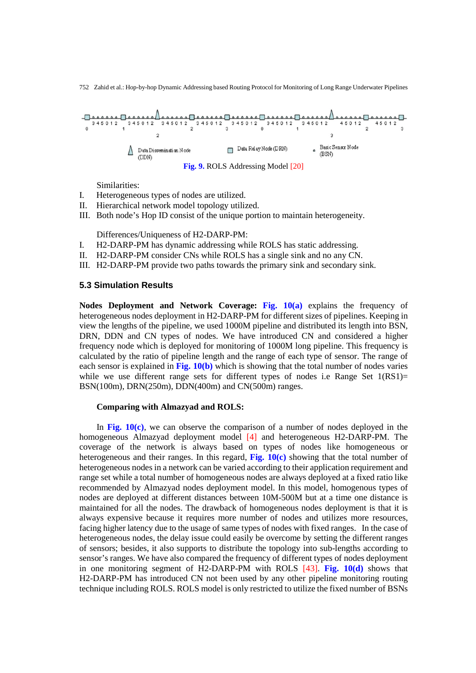

Similarities:

- I. Heterogeneous types of nodes are utilized.
- II. Hierarchical network model topology utilized.
- III. Both node's Hop ID consist of the unique portion to maintain heterogeneity.

Differences/Uniqueness of H2-DARP-PM:

- I. H2-DARP-PM has dynamic addressing while ROLS has static addressing.
- II. H2-DARP-PM consider CNs while ROLS has a single sink and no any CN.
- III. H2-DARP-PM provide two paths towards the primary sink and secondary sink.

# **5.3 Simulation Results**

**Nodes Deployment and Network Coverage: Fig. 10(a)** explains the frequency of heterogeneous nodes deployment in H2-DARP-PM for different sizes of pipelines. Keeping in view the lengths of the pipeline, we used 1000M pipeline and distributed its length into BSN, DRN, DDN and CN types of nodes. We have introduced CN and considered a higher frequency node which is deployed for monitoring of 1000M long pipeline. This frequency is calculated by the ratio of pipeline length and the range of each type of sensor. The range of each sensor is explained in **Fig. 10(b)** which is showing that the total number of nodes varies while we use different range sets for different types of nodes i.e Range Set  $1(RS1)$ = BSN(100m), DRN(250m), DDN(400m) and CN(500m) ranges.

# **Comparing with Almazyad and ROLS:**

In **Fig. 10(c)**, we can observe the comparison of a number of nodes deployed in the homogeneous Almazyad deployment model [\[4\]](#page-28-3) and heterogeneous H2-DARP-PM. The coverage of the network is always based on types of nodes like homogeneous or heterogeneous and their ranges. In this regard, **Fig. 10(c)** showing that the total number of heterogeneous nodes in a network can be varied according to their application requirement and range set while a total number of homogeneous nodes are always deployed at a fixed ratio like recommended by Almazyad nodes deployment model. In this model, homogenous types of nodes are deployed at different distances between 10M-500M but at a time one distance is maintained for all the nodes. The drawback of homogeneous nodes deployment is that it is always expensive because it requires more number of nodes and utilizes more resources, facing higher latency due to the usage of same types of nodes with fixed ranges. In the case of heterogeneous nodes, the delay issue could easily be overcome by setting the different ranges of sensors; besides, it also supports to distribute the topology into sub-lengths according to sensor's ranges. We have also compared the frequency of different types of nodes deployment in one monitoring segment of H2-DARP-PM with ROLS [\[43\]](#page-31-5). **Fig. 10(d)** shows that H2-DARP-PM has introduced CN not been used by any other pipeline monitoring routing technique including ROLS. ROLS model is only restricted to utilize the fixed number of BSNs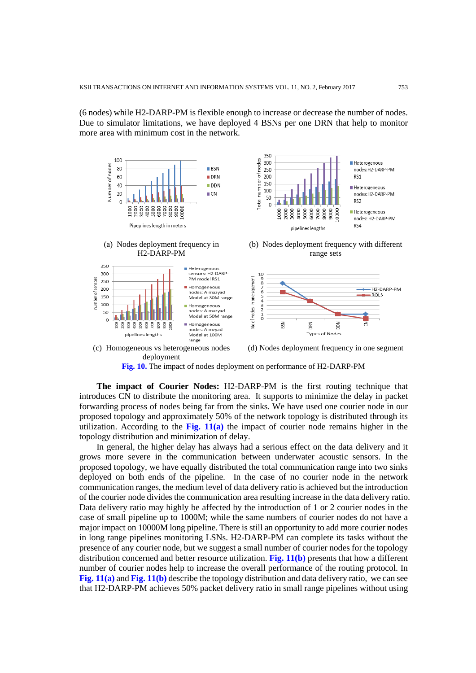(6 nodes) while H2-DARP-PM is flexible enough to increase or decrease the number of nodes. Due to simulator limitations, we have deployed 4 BSNs per one DRN that help to monitor more area with minimum cost in the network.



**The impact of Courier Nodes:** H2-DARP-PM is the first routing technique that introduces CN to distribute the monitoring area. It supports to minimize the delay in packet forwarding process of nodes being far from the sinks. We have used one courier node in our proposed topology and approximately 50% of the network topology is distributed through its utilization. According to the **Fig. 11(a)** the impact of courier node remains higher in the topology distribution and minimization of delay.

In general, the higher delay has always had a serious effect on the data delivery and it grows more severe in the communication between underwater acoustic sensors. In the proposed topology, we have equally distributed the total communication range into two sinks deployed on both ends of the pipeline. In the case of no courier node in the network communication ranges, the medium level of data delivery ratio is achieved but the introduction of the courier node divides the communication area resulting increase in the data delivery ratio. Data delivery ratio may highly be affected by the introduction of 1 or 2 courier nodes in the case of small pipeline up to 1000M; while the same numbers of courier nodes do not have a major impact on 10000M long pipeline. There is still an opportunity to add more courier nodes in long range pipelines monitoring LSNs. H2-DARP-PM can complete its tasks without the presence of any courier node, but we suggest a small number of courier nodes for the topology distribution concerned and better resource utilization. **Fig. 11(b)** presents that how a different number of courier nodes help to increase the overall performance of the routing protocol. In **Fig. 11(a)** and **Fig. 11(b)** describe the topology distribution and data delivery ratio, we can see that H2-DARP-PM achieves 50% packet delivery ratio in small range pipelines without using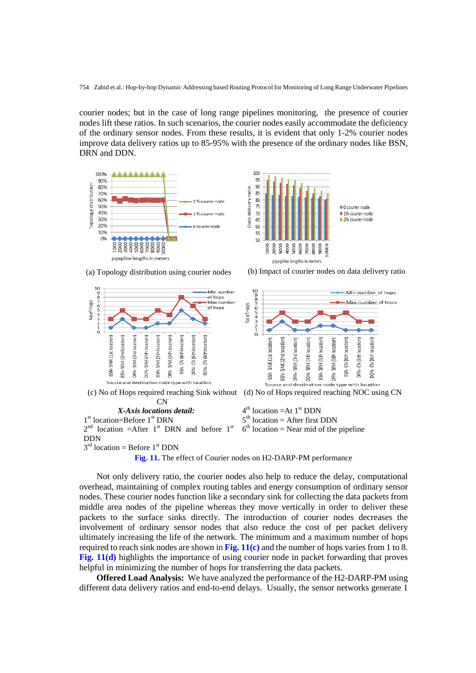courier nodes; but in the case of long range pipelines monitoring, the presence of courier nodes lift these ratios. In such scenarios, the courier nodes easily accommodate the deficiency of the ordinary sensor nodes. From these results, it is evident that only 1-2% courier nodes improve data delivery ratios up to 85-95% with the presence of the ordinary nodes like BSN, DRN and DDN.













**Fig. 11.** The effect of Courier nodes on H2-DARP-PM performance

Not only delivery ratio, the courier nodes also help to reduce the delay, computational overhead, maintaining of complex routing tables and energy consumption of ordinary sensor nodes. These courier nodes function like a secondary sink for collecting the data packets from middle area nodes of the pipeline whereas they move vertically in order to deliver these packets to the surface sinks directly. The introduction of courier nodes decreases the involvement of ordinary sensor nodes that also reduce the cost of per packet delivery ultimately increasing the life of the network. The minimum and a maximum number of hops required to reach sink nodes are shown in **Fig. 11(c)** and the number of hops varies from 1 to 8. **Fig. 11(d)** highlights the importance of using courier node in packet forwarding that proves helpful in minimizing the number of hops for transferring the data packets.

**Offered Load Analysis:** We have analyzed the performance of the H2-DARP-PM using different data delivery ratios and end-to-end delays. Usually, the sensor networks generate 1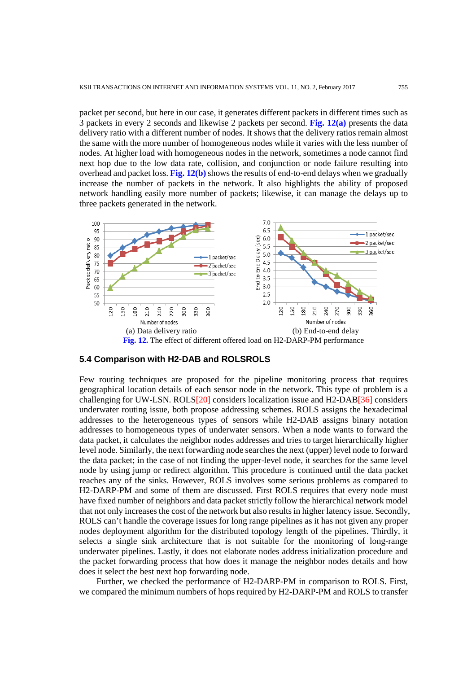packet per second, but here in our case, it generates different packets in different times such as 3 packets in every 2 seconds and likewise 2 packets per second. **Fig. 12(a)** presents the data delivery ratio with a different number of nodes. It shows that the delivery ratios remain almost the same with the more number of homogeneous nodes while it varies with the less number of nodes. At higher load with homogeneous nodes in the network, sometimes a node cannot find next hop due to the low data rate, collision, and conjunction or node failure resulting into overhead and packet loss. **Fig. 12(b)** shows the results of end-to-end delays when we gradually increase the number of packets in the network. It also highlights the ability of proposed network handling easily more number of packets; likewise, it can manage the delays up to three packets generated in the network.



#### **5.4 Comparison with H2-DAB and ROLSROLS**

Few routing techniques are proposed for the pipeline monitoring process that requires geographical location details of each sensor node in the network. This type of problem is a challenging for UW-LSN. ROLS[\[20\]](#page-29-13) considers localization issue and H2-DAB[\[36\]](#page-30-11) considers underwater routing issue, both propose addressing schemes. ROLS assigns the hexadecimal addresses to the heterogeneous types of sensors while H2-DAB assigns binary notation addresses to homogeneous types of underwater sensors. When a node wants to forward the data packet, it calculates the neighbor nodes addresses and tries to target hierarchically higher level node. Similarly, the next forwarding node searches the next (upper) level node to forward the data packet; in the case of not finding the upper-level node, it searches for the same level node by using jump or redirect algorithm. This procedure is continued until the data packet reaches any of the sinks. However, ROLS involves some serious problems as compared to H2-DARP-PM and some of them are discussed. First ROLS requires that every node must have fixed number of neighbors and data packet strictly follow the hierarchical network model that not only increases the cost of the network but also results in higher latency issue. Secondly, ROLS can't handle the coverage issues for long range pipelines as it has not given any proper nodes deployment algorithm for the distributed topology length of the pipelines. Thirdly, it selects a single sink architecture that is not suitable for the monitoring of long-range underwater pipelines. Lastly, it does not elaborate nodes address initialization procedure and the packet forwarding process that how does it manage the neighbor nodes details and how does it select the best next hop forwarding node.

Further, we checked the performance of H2-DARP-PM in comparison to ROLS. First, we compared the minimum numbers of hops required by H2-DARP-PM and ROLS to transfer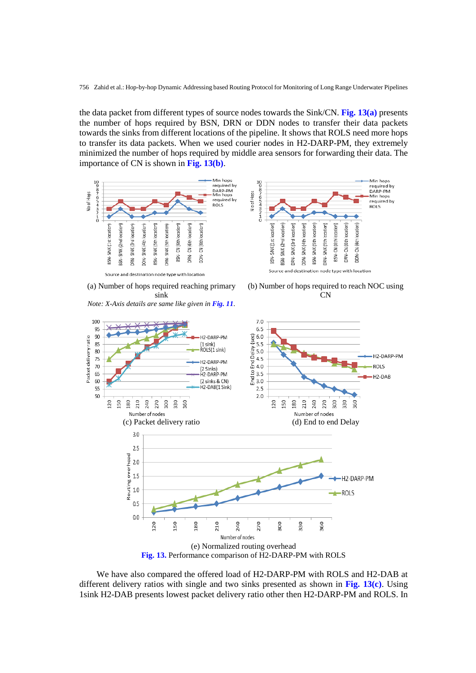the data packet from different types of source nodes towards the Sink/CN. **Fig. 13(a)** presents the number of hops required by BSN, DRN or DDN nodes to transfer their data packets towards the sinks from different locations of the pipeline. It shows that ROLS need more hops to transfer its data packets. When we used courier nodes in H2-DARP-PM, they extremely minimized the number of hops required by middle area sensors for forwarding their data. The importance of CN is shown in **Fig. 13(b)**.



We have also compared the offered load of H2-DARP-PM with ROLS and H2-DAB at different delivery ratios with single and two sinks presented as shown in **Fig. 13(c)**. Using 1sink H2-DAB presents lowest packet delivery ratio other then H2-DARP-PM and ROLS. In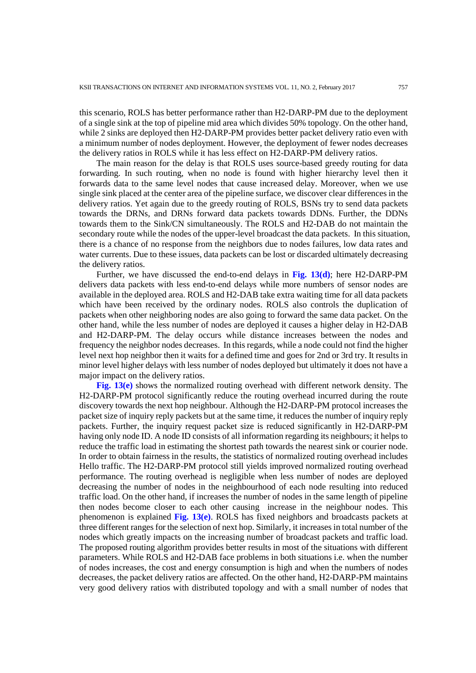this scenario, ROLS has better performance rather than H2-DARP-PM due to the deployment of a single sink at the top of pipeline mid area which divides 50% topology. On the other hand, while 2 sinks are deployed then H2-DARP-PM provides better packet delivery ratio even with a minimum number of nodes deployment. However, the deployment of fewer nodes decreases the delivery ratios in ROLS while it has less effect on H2-DARP-PM delivery ratios.

The main reason for the delay is that ROLS uses source-based greedy routing for data forwarding. In such routing, when no node is found with higher hierarchy level then it forwards data to the same level nodes that cause increased delay. Moreover, when we use single sink placed at the center area of the pipeline surface, we discover clear differences in the delivery ratios. Yet again due to the greedy routing of ROLS, BSNs try to send data packets towards the DRNs, and DRNs forward data packets towards DDNs. Further, the DDNs towards them to the Sink/CN simultaneously. The ROLS and H2-DAB do not maintain the secondary route while the nodes of the upper-level broadcast the data packets. In this situation, there is a chance of no response from the neighbors due to nodes failures, low data rates and water currents. Due to these issues, data packets can be lost or discarded ultimately decreasing the delivery ratios.

Further, we have discussed the end-to-end delays in **Fig. 13(d)**; here H2-DARP-PM delivers data packets with less end-to-end delays while more numbers of sensor nodes are available in the deployed area. ROLS and H2-DAB take extra waiting time for all data packets which have been received by the ordinary nodes. ROLS also controls the duplication of packets when other neighboring nodes are also going to forward the same data packet. On the other hand, while the less number of nodes are deployed it causes a higher delay in H2-DAB and H2-DARP-PM. The delay occurs while distance increases between the nodes and frequency the neighbor nodes decreases. In this regards, while a node could not find the higher level next hop neighbor then it waits for a defined time and goes for 2nd or 3rd try. It results in minor level higher delays with less number of nodes deployed but ultimately it does not have a major impact on the delivery ratios.

**Fig. 13(e)** shows the normalized routing overhead with different network density. The H2-DARP-PM protocol significantly reduce the routing overhead incurred during the route discovery towards the next hop neighbour. Although the H2-DARP-PM protocol increases the packet size of inquiry reply packets but at the same time, it reduces the number of inquiry reply packets. Further, the inquiry request packet size is reduced significantly in H2-DARP-PM having only node ID. A node ID consists of all information regarding its neighbours; it helps to reduce the traffic load in estimating the shortest path towards the nearest sink or courier node. In order to obtain fairness in the results, the statistics of normalized routing overhead includes Hello traffic. The H2-DARP-PM protocol still yields improved normalized routing overhead performance. The routing overhead is negligible when less number of nodes are deployed decreasing the number of nodes in the neighbourhood of each node resulting into reduced traffic load. On the other hand, if increases the number of nodes in the same length of pipeline then nodes become closer to each other causing increase in the neighbour nodes. This phenomenon is explained **Fig. 13(e)**. ROLS has fixed neighbors and broadcasts packets at three different ranges for the selection of next hop. Similarly, it increases in total number of the nodes which greatly impacts on the increasing number of broadcast packets and traffic load. The proposed routing algorithm provides better results in most of the situations with different parameters. While ROLS and H2-DAB face problems in both situations i.e. when the number of nodes increases, the cost and energy consumption is high and when the numbers of nodes decreases, the packet delivery ratios are affected. On the other hand, H2-DARP-PM maintains very good delivery ratios with distributed topology and with a small number of nodes that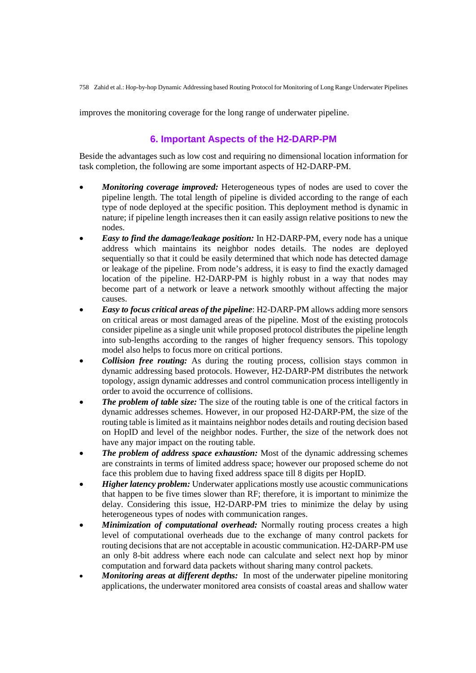improves the monitoring coverage for the long range of underwater pipeline.

# **6. Important Aspects of the H2-DARP-PM**

Beside the advantages such as low cost and requiring no dimensional location information for task completion, the following are some important aspects of H2-DARP-PM.

- *Monitoring coverage improved:* Heterogeneous types of nodes are used to cover the pipeline length. The total length of pipeline is divided according to the range of each type of node deployed at the specific position. This deployment method is dynamic in nature; if pipeline length increases then it can easily assign relative positions to new the nodes.
- *Easy to find the damage/leakage position:* In H2-DARP-PM, every node has a unique address which maintains its neighbor nodes details. The nodes are deployed sequentially so that it could be easily determined that which node has detected damage or leakage of the pipeline. From node's address, it is easy to find the exactly damaged location of the pipeline. H2-DARP-PM is highly robust in a way that nodes may become part of a network or leave a network smoothly without affecting the major causes.
- *Easy to focus critical areas of the pipeline*: H2-DARP-PM allows adding more sensors on critical areas or most damaged areas of the pipeline. Most of the existing protocols consider pipeline as a single unit while proposed protocol distributes the pipeline length into sub-lengths according to the ranges of higher frequency sensors. This topology model also helps to focus more on critical portions.
- *Collision free routing:* As during the routing process, collision stays common in dynamic addressing based protocols. However, H2-DARP-PM distributes the network topology, assign dynamic addresses and control communication process intelligently in order to avoid the occurrence of collisions.
- *The problem of table size:* The size of the routing table is one of the critical factors in dynamic addresses schemes. However, in our proposed H2-DARP-PM, the size of the routing table is limited as it maintains neighbor nodes details and routing decision based on HopID and level of the neighbor nodes. Further, the size of the network does not have any major impact on the routing table.
- *The problem of address space exhaustion:* Most of the dynamic addressing schemes are constraints in terms of limited address space; however our proposed scheme do not face this problem due to having fixed address space till 8 digits per HopID.
- *Higher latency problem:* Underwater applications mostly use acoustic communications that happen to be five times slower than RF; therefore, it is important to minimize the delay. Considering this issue, H2-DARP-PM tries to minimize the delay by using heterogeneous types of nodes with communication ranges.
- *Minimization of computational overhead:* Normally routing process creates a high level of computational overheads due to the exchange of many control packets for routing decisions that are not acceptable in acoustic communication. H2-DARP-PM use an only 8-bit address where each node can calculate and select next hop by minor computation and forward data packets without sharing many control packets.
- *Monitoring areas at different depths:* In most of the underwater pipeline monitoring applications, the underwater monitored area consists of coastal areas and shallow water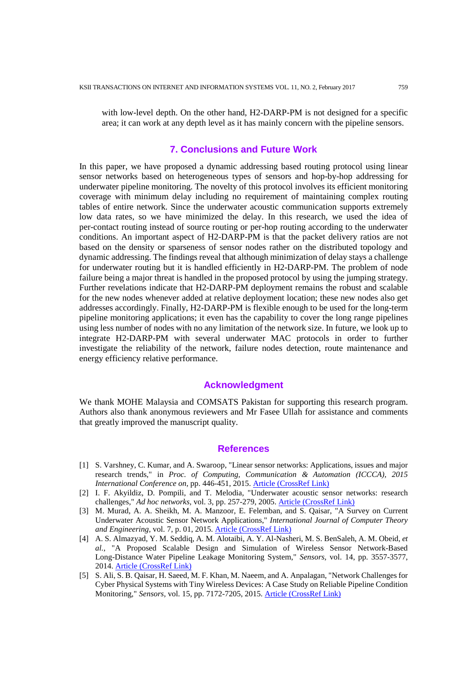with low-level depth. On the other hand, H2-DARP-PM is not designed for a specific area; it can work at any depth level as it has mainly concern with the pipeline sensors.

# **7. Conclusions and Future Work**

In this paper, we have proposed a dynamic addressing based routing protocol using linear sensor networks based on heterogeneous types of sensors and hop-by-hop addressing for underwater pipeline monitoring. The novelty of this protocol involves its efficient monitoring coverage with minimum delay including no requirement of maintaining complex routing tables of entire network. Since the underwater acoustic communication supports extremely low data rates, so we have minimized the delay. In this research, we used the idea of per-contact routing instead of source routing or per-hop routing according to the underwater conditions. An important aspect of H2-DARP-PM is that the packet delivery ratios are not based on the density or sparseness of sensor nodes rather on the distributed topology and dynamic addressing. The findings reveal that although minimization of delay stays a challenge for underwater routing but it is handled efficiently in H2-DARP-PM. The problem of node failure being a major threat is handled in the proposed protocol by using the jumping strategy. Further revelations indicate that H2-DARP-PM deployment remains the robust and scalable for the new nodes whenever added at relative deployment location; these new nodes also get addresses accordingly. Finally, H2-DARP-PM is flexible enough to be used for the long-term pipeline monitoring applications; it even has the capability to cover the long range pipelines using less number of nodes with no any limitation of the network size. In future, we look up to integrate H2-DARP-PM with several underwater MAC protocols in order to further investigate the reliability of the network, failure nodes detection, route maintenance and energy efficiency relative performance.

#### **Acknowledgment**

We thank MOHE Malaysia and COMSATS Pakistan for supporting this research program. Authors also thank anonymous reviewers and Mr Fasee Ullah for assistance and comments that greatly improved the manuscript quality.

#### **References**

- <span id="page-28-0"></span>[1] S. Varshney, C. Kumar, and A. Swaroop, "Linear sensor networks: Applications, issues and major research trends," in *Proc. of Computing, Communication & Automation (ICCCA), 2015 International Conference on*, pp. 446-451, 2015. [Article \(CrossRef Link\)](https://doi.org/10.1109/ccaa.2015.7148418)
- <span id="page-28-1"></span>[2] I. F. Akyildiz, D. Pompili, and T. Melodia, "Underwater acoustic sensor networks: research challenges," *Ad hoc networks,* vol. 3, pp. 257-279, 2005. [Article \(CrossRef Link\)](https://doi.org/10.1016/j.adhoc.2005.01.004)
- <span id="page-28-2"></span>[3] M. Murad, A. A. Sheikh, M. A. Manzoor, E. Felemban, and S. Qaisar, "A Survey on Current Underwater Acoustic Sensor Network Applications," *International Journal of Computer Theory and Engineering,* vol. 7, p. 01, 2015. [Article \(CrossRef Link\)](http://search.proquest.com/openview/f20e1a9a17f13b188aa81ed0c4d6998f/1?pq-origsite=gscholar)
- <span id="page-28-3"></span>[4] A. S. Almazyad, Y. M. Seddiq, A. M. Alotaibi, A. Y. Al-Nasheri, M. S. BenSaleh, A. M. Obeid*, et al.*, "A Proposed Scalable Design and Simulation of Wireless Sensor Network-Based Long-Distance Water Pipeline Leakage Monitoring System," *Sensors,* vol. 14, pp. 3557-3577, 2014. [Article \(CrossRef Link\)](https://doi.org/10.3390/s140203557)
- <span id="page-28-4"></span>[5] S. Ali, S. B. Qaisar, H. Saeed, M. F. Khan, M. Naeem, and A. Anpalagan, "Network Challenges for Cyber Physical Systems with Tiny Wireless Devices: A Case Study on Reliable Pipeline Condition Monitoring," *Sensors,* vol. 15, pp. 7172-7205, 2015. [Article \(CrossRef Link\)](https://doi.org/10.3390/s150407172)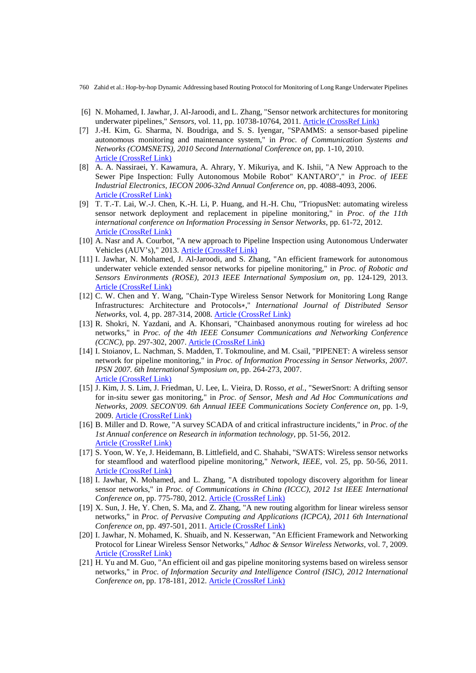- 760 Zahid et al.: Hop-by-hop Dynamic Addressing based Routing Protocol for Monitoring of Long Range Underwater Pipelines
- <span id="page-29-0"></span>[6] N. Mohamed, I. Jawhar, J. Al-Jaroodi, and L. Zhang, "Sensor network architectures for monitoring underwater pipelines," *Sensors,* vol. 11, pp. 10738-10764, 2011. [Article \(CrossRef Link\)](https://doi.org/10.3390/s111110738)
- <span id="page-29-1"></span>[7] J.-H. Kim, G. Sharma, N. Boudriga, and S. S. Iyengar, "SPAMMS: a sensor-based pipeline autonomous monitoring and maintenance system," in *Proc. of Communication Systems and Networks (COMSNETS), 2010 Second International Conference on*, pp. 1-10, 2010. [Article \(CrossRef Link\)](https://doi.org/10.1109/comsnets.2010.5432015)
- <span id="page-29-7"></span>[8] A. A. Nassiraei, Y. Kawamura, A. Ahrary, Y. Mikuriya, and K. Ishii, "A New Approach to the Sewer Pipe Inspection: Fully Autonomous Mobile Robot" KANTARO"," in *Proc. of IEEE Industrial Electronics, IECON 2006-32nd Annual Conference on*, pp. 4088-4093, 2006. [Article \(CrossRef Link\)](http://ieeexplore.ieee.org/document/4153385/)
- <span id="page-29-6"></span>[9] T. T.-T. Lai, W.-J. Chen, K.-H. Li, P. Huang, and H.-H. Chu, "TriopusNet: automating wireless sensor network deployment and replacement in pipeline monitoring," in *Proc. of the 11th international conference on Information Processing in Sensor Networks*, pp. 61-72, 2012. [Article \(CrossRef Link\)](https://doi.org/10.1145/2185677.2185686)
- [10] A. Nasr and A. Courbot, "A new approach to Pipeline Inspection using Autonomous Underwater Vehicles (AUV's)," 2013. [Article \(CrossRef Link\)](https://www.onepetro.org/conference-paper/OTC-24224-MS)
- <span id="page-29-11"></span>[11] I. Jawhar, N. Mohamed, J. Al-Jaroodi, and S. Zhang, "An efficient framework for autonomous underwater vehicle extended sensor networks for pipeline monitoring," in *Proc. of Robotic and Sensors Environments (ROSE), 2013 IEEE International Symposium on*, pp. 124-129, 2013. [Article \(CrossRef Link\)](https://doi.org/10.1109/rose.2013.6698430)
- <span id="page-29-2"></span>[12] C. W. Chen and Y. Wang, "Chain-Type Wireless Sensor Network for Monitoring Long Range Infrastructures: Architecture and Protocols∗," *International Journal of Distributed Sensor Networks,* vol. 4, pp. 287-314, 2008. [Article \(CrossRef Link\)](https://doi.org/10.1080/15501320701260261)
- <span id="page-29-3"></span>[13] R. Shokri, N. Yazdani, and A. Khonsari, "Chainbased anonymous routing for wireless ad hoc networks," in *Proc. of the 4th IEEE Consumer Communications and Networking Conference (CCNC)*, pp. 297-302, 2007. [Article \(CrossRef Link\)](https://infoscience.epfl.ch/record/113937)
- <span id="page-29-4"></span>[14] I. Stoianov, L. Nachman, S. Madden, T. Tokmouline, and M. Csail, "PIPENET: A wireless sensor network for pipeline monitoring," in *Proc. of Information Processing in Sensor Networks, 2007. IPSN 2007. 6th International Symposium on*, pp. 264-273, 2007. [Article \(CrossRef Link\)](https://doi.org/10.1109/ipsn.2007.4379686)
- <span id="page-29-5"></span>[15] J. Kim, J. S. Lim, J. Friedman, U. Lee, L. Vieira, D. Rosso*, et al.*, "SewerSnort: A drifting sensor for in-situ sewer gas monitoring," in *Proc. of Sensor, Mesh and Ad Hoc Communications and Networks, 2009. SECON'09. 6th Annual IEEE Communications Society Conference on*, pp. 1-9, 2009. [Article \(CrossRef Link\)](https://doi.org/10.1109/sahcn.2009.5168971)
- <span id="page-29-8"></span>[16] B. Miller and D. Rowe, "A survey SCADA of and critical infrastructure incidents," in *Proc. of the 1st Annual conference on Research in information technology*, pp. 51-56, 2012. [Article \(CrossRef Link\)](https://doi.org/10.1145/2380790.2380805)
- <span id="page-29-9"></span>[17] S. Yoon, W. Ye, J. Heidemann, B. Littlefield, and C. Shahabi, "SWATS: Wireless sensor networks for steamflood and waterflood pipeline monitoring," *Network, IEEE,* vol. 25, pp. 50-56, 2011. [Article \(CrossRef Link\)](https://doi.org/10.1109/MNET.2011.5687953)
- <span id="page-29-10"></span>[18] I. Jawhar, N. Mohamed, and L. Zhang, "A distributed topology discovery algorithm for linear sensor networks," in *Proc. of Communications in China (ICCC), 2012 1st IEEE International Conference on*, pp. 775-780, 2012. [Article \(CrossRef Link\)](https://doi.org/10.1109/iccchina.2012.6356988)
- <span id="page-29-12"></span>[19] X. Sun, J. He, Y. Chen, S. Ma, and Z. Zhang, "A new routing algorithm for linear wireless sensor networks," in *Proc. of Pervasive Computing and Applications (ICPCA), 2011 6th International Conference on*, pp. 497-501, 2011. [Article \(CrossRef Link\)](http://ieeexplore.ieee.org/document/6106553/)
- <span id="page-29-13"></span>[20] I. Jawhar, N. Mohamed, K. Shuaib, and N. Kesserwan, "An Efficient Framework and Networking Protocol for Linear Wireless Sensor Networks," *Adhoc & Sensor Wireless Networks,* vol. 7, 2009. [Article \(CrossRef Link\)](http://www.oldcitypublishing.com/journals/ahswn-home/ahswn-issue-contents/ahswn-volume-7-number-1-2-2009/ahswn-7-1-2-p-3-21/)
- <span id="page-29-14"></span>[21] H. Yu and M. Guo, "An efficient oil and gas pipeline monitoring systems based on wireless sensor networks," in *Proc. of Information Security and Intelligence Control (ISIC), 2012 International Conference on*, pp. 178-181, 2012. [Article \(CrossRef Link\)](https://doi.org/10.1109/isic.2012.6449735)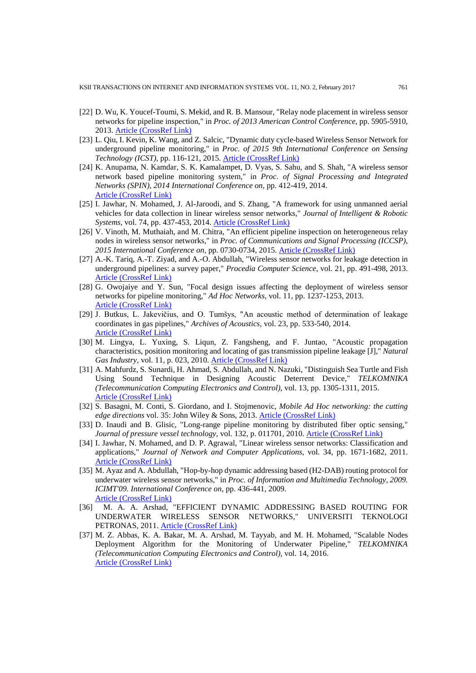KSII TRANSACTIONS ON INTERNET AND INFORMATION SYSTEMS VOL. 11, NO. 2, February 2017 761

- <span id="page-30-0"></span>[22] D. Wu, K. Youcef-Toumi, S. Mekid, and R. B. Mansour, "Relay node placement in wireless sensor networks for pipeline inspection," in *Proc. of 2013 American Control Conference*, pp. 5905-5910, 2013. [Article \(CrossRef Link\)](http://ieeexplore.ieee.org/document/6580764/)
- <span id="page-30-1"></span>[23] L. Qiu, I. Kevin, K. Wang, and Z. Salcic, "Dynamic duty cycle-based Wireless Sensor Network for underground pipeline monitoring," in *Proc. of 2015 9th International Conference on Sensing Technology (ICST)*, pp. 116-121, 2015. [Article \(CrossRef Link\)](http://ieeexplore.ieee.org/document/7438375/)
- <span id="page-30-2"></span>[24] K. Anupama, N. Kamdar, S. K. Kamalampet, D. Vyas, S. Sahu, and S. Shah, "A wireless sensor network based pipeline monitoring system," in *Proc. of Signal Processing and Integrated Networks (SPIN), 2014 International Conference on*, pp. 412-419, 2014. [Article \(CrossRef Link\)](https://doi.org/10.1109/spin.2014.6776989)
- <span id="page-30-3"></span>[25] I. Jawhar, N. Mohamed, J. Al-Jaroodi, and S. Zhang, "A framework for using unmanned aerial vehicles for data collection in linear wireless sensor networks," *Journal of Intelligent & Robotic Systems,* vol. 74, pp. 437-453, 2014. [Article \(CrossRef Link\)](https://doi.org/10.1007/s10846-013-9965-9)
- <span id="page-30-4"></span>[26] V. Vinoth, M. Muthaiah, and M. Chitra, "An efficient pipeline inspection on heterogeneous relay nodes in wireless sensor networks," in *Proc. of Communications and Signal Processing (ICCSP), 2015 International Conference on*, pp. 0730-0734, 2015. [Article \(CrossRef Link\)](https://doi.org/10.1109/iccsp.2015.7322586)
- <span id="page-30-5"></span>[27] A.-K. Tariq, A.-T. Ziyad, and A.-O. Abdullah, "Wireless sensor networks for leakage detection in underground pipelines: a survey paper," *Procedia Computer Science,* vol. 21, pp. 491-498, 2013. [Article \(CrossRef Link\)](https://doi.org/10.1016/j.procs.2013.09.067)
- <span id="page-30-6"></span>[28] G. Owojaiye and Y. Sun, "Focal design issues affecting the deployment of wireless sensor networks for pipeline monitoring," *Ad Hoc Networks,* vol. 11, pp. 1237-1253, 2013. [Article \(CrossRef Link\)](https://doi.org/10.1016/j.adhoc.2012.09.006)
- <span id="page-30-7"></span>[29] J. Butkus, L. Jakevičius, and O. Tumšys, "An acoustic method of determination of leakage coordinates in gas pipelines," *Archives of Acoustics,* vol. 23, pp. 533-540, 2014. [Article \(CrossRef Link\)](http://acoustics.ippt.pan.pl/index.php/aa/article/view/1046)
- [30] M. Lingya, L. Yuxing, S. Liqun, Z. Fangsheng, and F. Juntao, "Acoustic propagation characteristics, position monitoring and locating of gas transmission pipeline leakage [J]," *Natural Gas Industry,* vol. 11, p. 023, 2010. [Article \(CrossRef Link\)](http://en.cnki.com.cn/Article_en/CJFDTotal-TRQG201011023.htm)
- [31] A. Mahfurdz, S. Sunardi, H. Ahmad, S. Abdullah, and N. Nazuki, "Distinguish Sea Turtle and Fish Using Sound Technique in Designing Acoustic Deterrent Device," *TELKOMNIKA (Telecommunication Computing Electronics and Control),* vol. 13, pp. 1305-1311, 2015. [Article \(CrossRef Link\)](https://doi.org/10.12928/telkomnika.v13i4.1827)
- [32] S. Basagni, M. Conti, S. Giordano, and I. Stojmenovic, *Mobile Ad Hoc networking: the cutting edge directions* vol. 35: John Wiley & Sons, 2013. [Article \(CrossRef Link\)](https://doi.org/10.1002/9781118511305)
- <span id="page-30-8"></span>[33] D. Inaudi and B. Glisic, "Long-range pipeline monitoring by distributed fiber optic sensing," *Journal of pressure vessel technology,* vol. 132, p. 011701, 2010. [Article \(CrossRef Link\)](https://doi.org/10.1115/1.3062942)
- <span id="page-30-9"></span>[34] I. Jawhar, N. Mohamed, and D. P. Agrawal, "Linear wireless sensor networks: Classification and applications," *Journal of Network and Computer Applications,* vol. 34, pp. 1671-1682, 2011. [Article \(CrossRef Link\)](https://doi.org/10.1016/j.jnca.2011.05.006)
- <span id="page-30-10"></span>[35] M. Ayaz and A. Abdullah, "Hop-by-hop dynamic addressing based (H2-DAB) routing protocol for underwater wireless sensor networks," in *Proc. of Information and Multimedia Technology, 2009. ICIMT'09. International Conference on*, pp. 436-441, 2009. [Article \(CrossRef Link\)](https://doi.org/10.1109/icimt.2009.70)
- <span id="page-30-11"></span>[36] M. A. A. Arshad, "EFFICIENT DYNAMIC ADDRESSING BASED ROUTING FOR UNDERWATER WIRELESS SENSOR NETWORKS," UNIVERSITI TEKNOLOGI PETRONAS, 2011. [Article \(CrossRef Link\)](https://scholar.google.com/scholar?q=EFFICIENT+DYNAMIC+ADDRESSING+BASED+ROUTING+FOR+UNDERWATER+WIRELESS+SENSOR+NETWORKS&btnG=&hl=en&as_sdt=0%2C5)
- <span id="page-30-12"></span>[37] M. Z. Abbas, K. A. Bakar, M. A. Arshad, M. Tayyab, and M. H. Mohamed, "Scalable Nodes Deployment Algorithm for the Monitoring of Underwater Pipeline," *TELKOMNIKA (Telecommunication Computing Electronics and Control),* vol. 14, 2016. Article [\(CrossRef Link\)](http://www.journal.uad.ac.id/index.php/TELKOMNIKA/article/view/3464)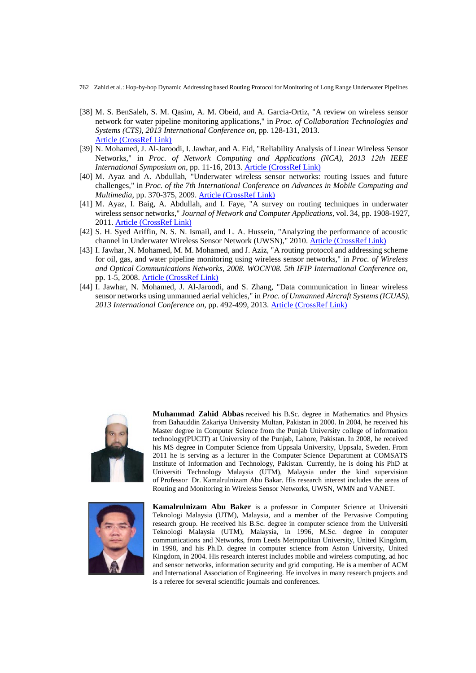- 762 Zahid et al.: Hop-by-hop Dynamic Addressing based Routing Protocol for Monitoring of Long Range Underwater Pipelines
- <span id="page-31-0"></span>[38] M. S. BenSaleh, S. M. Qasim, A. M. Obeid, and A. Garcia-Ortiz, "A review on wireless sensor network for water pipeline monitoring applications," in *Proc. of Collaboration Technologies and Systems (CTS), 2013 International Conference on*, pp. 128-131, 2013. [Article \(CrossRef Link\)](https://doi.org/10.1109/cts.2013.6567217)
- <span id="page-31-1"></span>[39] N. Mohamed, J. Al-Jaroodi, I. Jawhar, and A. Eid, "Reliability Analysis of Linear Wireless Sensor Networks," in *Proc. of Network Computing and Applications (NCA), 2013 12th IEEE International Symposium on*, pp. 11-16, 2013. [Article \(CrossRef Link\)](https://doi.org/10.1109/nca.2013.40)
- <span id="page-31-2"></span>[40] M. Ayaz and A. Abdullah, "Underwater wireless sensor networks: routing issues and future challenges," in *Proc. of the 7th International Conference on Advances in Mobile Computing and Multimedia*, pp. 370-375, 2009. [Article \(CrossRef Link\)](https://doi.org/10.1145/1821748.1821819)
- <span id="page-31-3"></span>[41] M. Ayaz, I. Baig, A. Abdullah, and I. Faye, "A survey on routing techniques in underwater wireless sensor networks," *Journal of Network and Computer Applications,* vol. 34, pp. 1908-1927, 2011. [Article \(CrossRef Link\)](https://doi.org/10.1016/j.jnca.2011.06.009)
- <span id="page-31-4"></span>[42] S. H. Syed Ariffin, N. S. N. Ismail, and L. A. Hussein, "Analyzing the performance of acoustic channel in Underwater Wireless Sensor Network (UWSN)," 2010. [Article \(CrossRef Link\)](http://ieeexplore.ieee.org/document/5489243/)
- <span id="page-31-5"></span>[43] I. Jawhar, N. Mohamed, M. M. Mohamed, and J. Aziz, "A routing protocol and addressing scheme for oil, gas, and water pipeline monitoring using wireless sensor networks," in *Proc. of Wireless and Optical Communications Networks, 2008. WOCN'08. 5th IFIP International Conference on*, pp. 1-5, 2008. [Article \(CrossRef Link\)](https://doi.org/10.1109/wocn.2008.4542530)
- <span id="page-31-6"></span>[44] I. Jawhar, N. Mohamed, J. Al-Jaroodi, and S. Zhang, "Data communication in linear wireless sensor networks using unmanned aerial vehicles," in *Proc. of Unmanned Aircraft Systems (ICUAS), 2013 International Conference on*, pp. 492-499, 2013. [Article \(CrossRef Link\)](https://doi.org/10.1109/icuas.2013.6564725)



**Muhammad Zahid Abbas** received his B.Sc. degree in Mathematics and Physics from Bahauddin Zakariya University Multan, Pakistan in 2000. In 2004, he received his Master degree in Computer Science from the Punjab University college of information technology(PUCIT) at University of the Punjab, Lahore, Pakistan. In 2008, he received his MS degree in Computer Science from Uppsala University, Uppsala, Sweden. From 2011 he is serving as a lecturer in the Computer Science Department at COMSATS Institute of Information and Technology, Pakistan. Currently, he is doing his PhD at Universiti Technology Malaysia (UTM), Malaysia under the kind supervision of Professor Dr. Kamalrulnizam Abu Bakar. His research interest includes the areas of Routing and Monitoring in Wireless Sensor Networks, UWSN, WMN and VANET.



**Kamalrulnizam Abu Baker** is a professor in Computer Science at Universiti Teknologi Malaysia (UTM), Malaysia, and a member of the Pervasive Computing research group. He received his B.Sc. degree in computer science from the Universiti Teknologi Malaysia (UTM), Malaysia, in 1996, M.Sc. degree in computer communications and Networks, from Leeds Metropolitan University, United Kingdom, in 1998, and his Ph.D. degree in computer science from Aston University, United Kingdom, in 2004. His research interest includes mobile and wireless computing, ad hoc and sensor networks, information security and grid computing. He is a member of ACM and International Association of Engineering. He involves in many research projects and is a referee for several scientific journals and conferences.